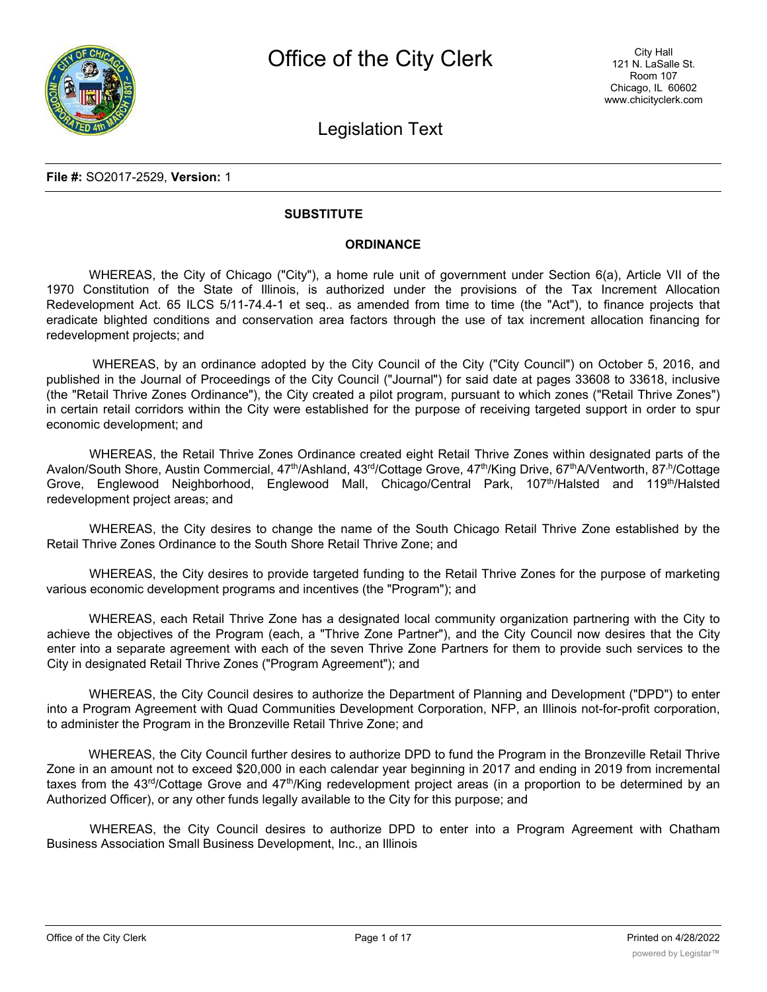Legislation Text

### **File #:** SO2017-2529, **Version:** 1

### **SUBSTITUTE**

### **ORDINANCE**

WHEREAS, the City of Chicago ("City"), a home rule unit of government under Section 6(a), Article VII of the 1970 Constitution of the State of Illinois, is authorized under the provisions of the Tax Increment Allocation Redevelopment Act. 65 ILCS 5/11-74.4-1 et seq.. as amended from time to time (the "Act"), to finance projects that eradicate blighted conditions and conservation area factors through the use of tax increment allocation financing for redevelopment projects; and

WHEREAS, by an ordinance adopted by the City Council of the City ("City Council") on October 5, 2016, and published in the Journal of Proceedings of the City Council ("Journal") for said date at pages 33608 to 33618, inclusive (the "Retail Thrive Zones Ordinance"), the City created a pilot program, pursuant to which zones ("Retail Thrive Zones") in certain retail corridors within the City were established for the purpose of receiving targeted support in order to spur economic development; and

WHEREAS, the Retail Thrive Zones Ordinance created eight Retail Thrive Zones within designated parts of the Avalon/South Shore, Austin Commercial, 47<sup>th</sup>/Ashland, 43<sup>rd</sup>/Cottage Grove, 47<sup>th</sup>/King Drive, 67<sup>th</sup>A/Ventworth, 87<sup>th</sup>/Cottage Grove, Englewood Neighborhood, Englewood Mall, Chicago/Central Park, 107<sup>th</sup>/Halsted and 119<sup>th</sup>/Halsted redevelopment project areas; and

WHEREAS, the City desires to change the name of the South Chicago Retail Thrive Zone established by the Retail Thrive Zones Ordinance to the South Shore Retail Thrive Zone; and

WHEREAS, the City desires to provide targeted funding to the Retail Thrive Zones for the purpose of marketing various economic development programs and incentives (the "Program"); and

WHEREAS, each Retail Thrive Zone has a designated local community organization partnering with the City to achieve the objectives of the Program (each, a "Thrive Zone Partner"), and the City Council now desires that the City enter into a separate agreement with each of the seven Thrive Zone Partners for them to provide such services to the City in designated Retail Thrive Zones ("Program Agreement"); and

WHEREAS, the City Council desires to authorize the Department of Planning and Development ("DPD") to enter into a Program Agreement with Quad Communities Development Corporation, NFP, an Illinois not-for-profit corporation, to administer the Program in the Bronzeville Retail Thrive Zone; and

WHEREAS, the City Council further desires to authorize DPD to fund the Program in the Bronzeville Retail Thrive Zone in an amount not to exceed \$20,000 in each calendar year beginning in 2017 and ending in 2019 from incremental taxes from the 43<sup>rd</sup>/Cottage Grove and 47<sup>th</sup>/King redevelopment project areas (in a proportion to be determined by an Authorized Officer), or any other funds legally available to the City for this purpose; and

WHEREAS, the City Council desires to authorize DPD to enter into a Program Agreement with Chatham Business Association Small Business Development, Inc., an Illinois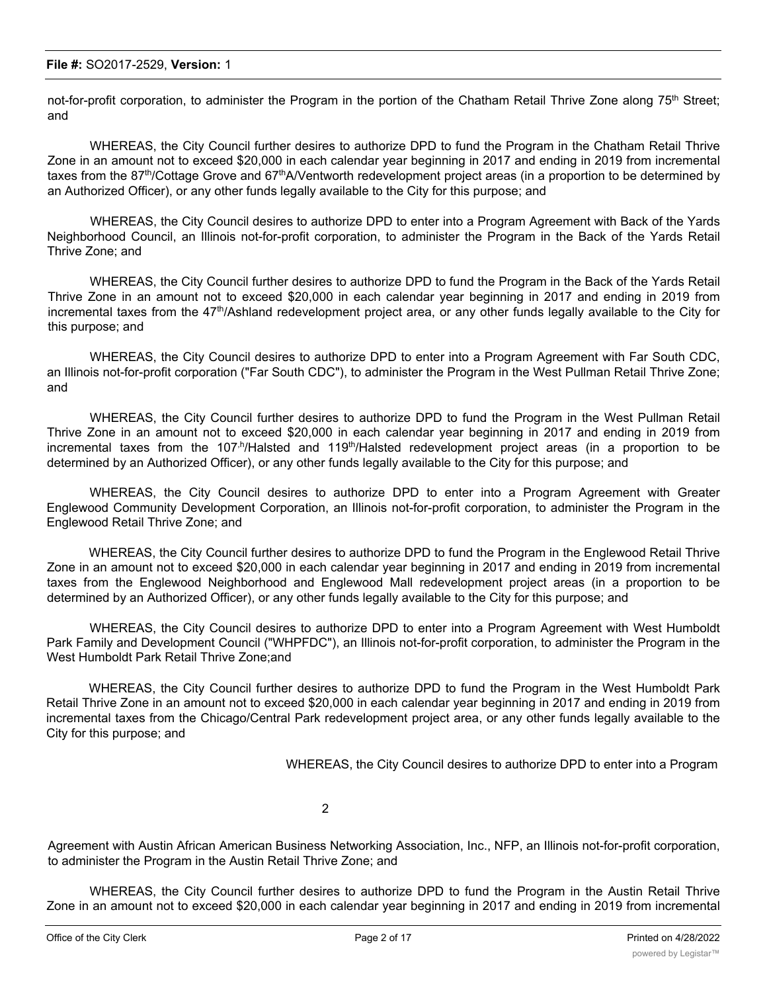not-for-profit corporation, to administer the Program in the portion of the Chatham Retail Thrive Zone along  $75<sup>th</sup>$  Street; and

WHEREAS, the City Council further desires to authorize DPD to fund the Program in the Chatham Retail Thrive Zone in an amount not to exceed \$20,000 in each calendar year beginning in 2017 and ending in 2019 from incremental taxes from the 87<sup>th</sup>/Cottage Grove and 67<sup>th</sup>A/Ventworth redevelopment project areas (in a proportion to be determined by an Authorized Officer), or any other funds legally available to the City for this purpose; and

WHEREAS, the City Council desires to authorize DPD to enter into a Program Agreement with Back of the Yards Neighborhood Council, an Illinois not-for-profit corporation, to administer the Program in the Back of the Yards Retail Thrive Zone; and

WHEREAS, the City Council further desires to authorize DPD to fund the Program in the Back of the Yards Retail Thrive Zone in an amount not to exceed \$20,000 in each calendar year beginning in 2017 and ending in 2019 from incremental taxes from the 47<sup>th</sup>/Ashland redevelopment project area, or any other funds legally available to the City for this purpose; and

WHEREAS, the City Council desires to authorize DPD to enter into a Program Agreement with Far South CDC, an Illinois not-for-profit corporation ("Far South CDC"), to administer the Program in the West Pullman Retail Thrive Zone; and

WHEREAS, the City Council further desires to authorize DPD to fund the Program in the West Pullman Retail Thrive Zone in an amount not to exceed \$20,000 in each calendar year beginning in 2017 and ending in 2019 from incremental taxes from the 107<sup>,h</sup>/Halsted and 119<sup>th</sup>/Halsted redevelopment project areas (in a proportion to be determined by an Authorized Officer), or any other funds legally available to the City for this purpose; and

WHEREAS, the City Council desires to authorize DPD to enter into a Program Agreement with Greater Englewood Community Development Corporation, an Illinois not-for-profit corporation, to administer the Program in the Englewood Retail Thrive Zone; and

WHEREAS, the City Council further desires to authorize DPD to fund the Program in the Englewood Retail Thrive Zone in an amount not to exceed \$20,000 in each calendar year beginning in 2017 and ending in 2019 from incremental taxes from the Englewood Neighborhood and Englewood Mall redevelopment project areas (in a proportion to be determined by an Authorized Officer), or any other funds legally available to the City for this purpose; and

WHEREAS, the City Council desires to authorize DPD to enter into a Program Agreement with West Humboldt Park Family and Development Council ("WHPFDC"), an Illinois not-for-profit corporation, to administer the Program in the West Humboldt Park Retail Thrive Zone;and

WHEREAS, the City Council further desires to authorize DPD to fund the Program in the West Humboldt Park Retail Thrive Zone in an amount not to exceed \$20,000 in each calendar year beginning in 2017 and ending in 2019 from incremental taxes from the Chicago/Central Park redevelopment project area, or any other funds legally available to the City for this purpose; and

WHEREAS, the City Council desires to authorize DPD to enter into a Program

2

Agreement with Austin African American Business Networking Association, Inc., NFP, an Illinois not-for-profit corporation, to administer the Program in the Austin Retail Thrive Zone; and

WHEREAS, the City Council further desires to authorize DPD to fund the Program in the Austin Retail Thrive Zone in an amount not to exceed \$20,000 in each calendar year beginning in 2017 and ending in 2019 from incremental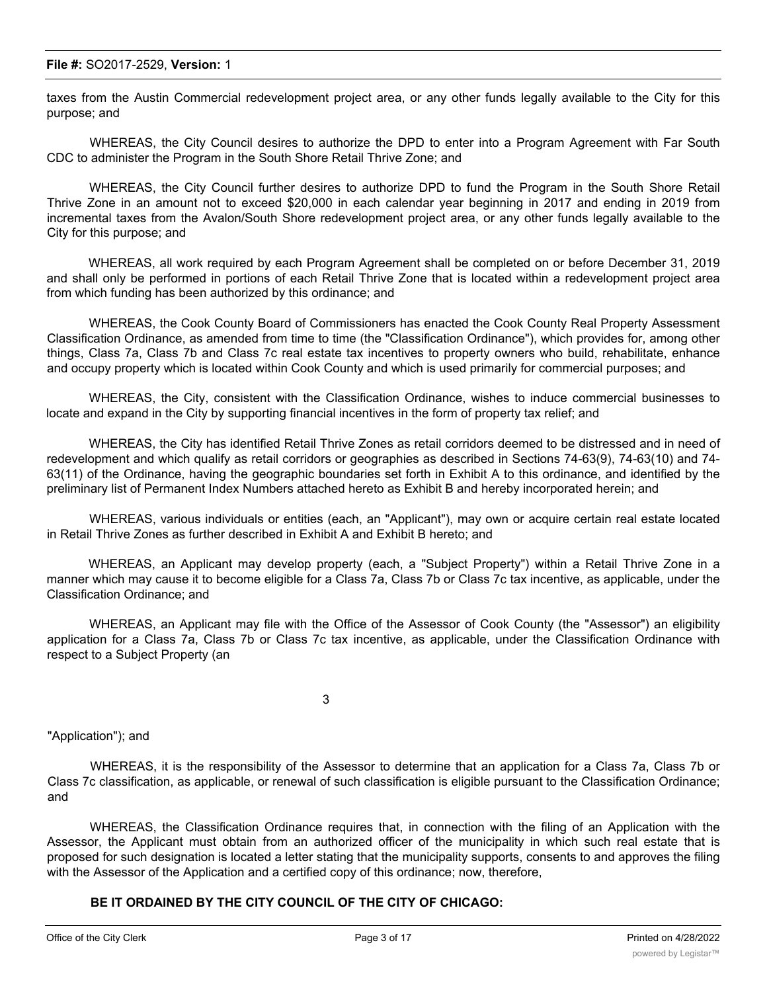taxes from the Austin Commercial redevelopment project area, or any other funds legally available to the City for this purpose; and

WHEREAS, the City Council desires to authorize the DPD to enter into a Program Agreement with Far South CDC to administer the Program in the South Shore Retail Thrive Zone; and

WHEREAS, the City Council further desires to authorize DPD to fund the Program in the South Shore Retail Thrive Zone in an amount not to exceed \$20,000 in each calendar year beginning in 2017 and ending in 2019 from incremental taxes from the Avalon/South Shore redevelopment project area, or any other funds legally available to the City for this purpose; and

WHEREAS, all work required by each Program Agreement shall be completed on or before December 31, 2019 and shall only be performed in portions of each Retail Thrive Zone that is located within a redevelopment project area from which funding has been authorized by this ordinance; and

WHEREAS, the Cook County Board of Commissioners has enacted the Cook County Real Property Assessment Classification Ordinance, as amended from time to time (the "Classification Ordinance"), which provides for, among other things, Class 7a, Class 7b and Class 7c real estate tax incentives to property owners who build, rehabilitate, enhance and occupy property which is located within Cook County and which is used primarily for commercial purposes; and

WHEREAS, the City, consistent with the Classification Ordinance, wishes to induce commercial businesses to locate and expand in the City by supporting financial incentives in the form of property tax relief; and

WHEREAS, the City has identified Retail Thrive Zones as retail corridors deemed to be distressed and in need of redevelopment and which qualify as retail corridors or geographies as described in Sections 74-63(9), 74-63(10) and 74- 63(11) of the Ordinance, having the geographic boundaries set forth in Exhibit A to this ordinance, and identified by the preliminary list of Permanent Index Numbers attached hereto as Exhibit B and hereby incorporated herein; and

WHEREAS, various individuals or entities (each, an "Applicant"), may own or acquire certain real estate located in Retail Thrive Zones as further described in Exhibit A and Exhibit B hereto; and

WHEREAS, an Applicant may develop property (each, a "Subject Property") within a Retail Thrive Zone in a manner which may cause it to become eligible for a Class 7a, Class 7b or Class 7c tax incentive, as applicable, under the Classification Ordinance; and

WHEREAS, an Applicant may file with the Office of the Assessor of Cook County (the "Assessor") an eligibility application for a Class 7a, Class 7b or Class 7c tax incentive, as applicable, under the Classification Ordinance with respect to a Subject Property (an

3

"Application"); and

WHEREAS, it is the responsibility of the Assessor to determine that an application for a Class 7a, Class 7b or Class 7c classification, as applicable, or renewal of such classification is eligible pursuant to the Classification Ordinance; and

WHEREAS, the Classification Ordinance requires that, in connection with the filing of an Application with the Assessor, the Applicant must obtain from an authorized officer of the municipality in which such real estate that is proposed for such designation is located a letter stating that the municipality supports, consents to and approves the filing with the Assessor of the Application and a certified copy of this ordinance; now, therefore,

### **BE IT ORDAINED BY THE CITY COUNCIL OF THE CITY OF CHICAGO:**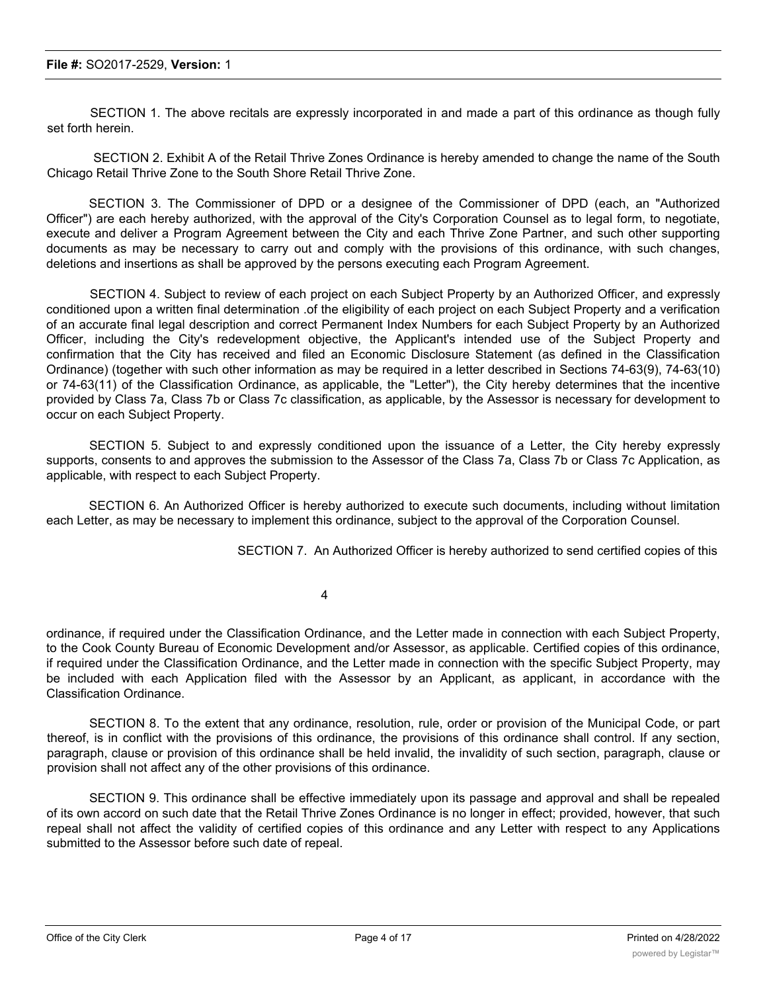SECTION 1. The above recitals are expressly incorporated in and made a part of this ordinance as though fully set forth herein.

SECTION 2. Exhibit A of the Retail Thrive Zones Ordinance is hereby amended to change the name of the South Chicago Retail Thrive Zone to the South Shore Retail Thrive Zone.

SECTION 3. The Commissioner of DPD or a designee of the Commissioner of DPD (each, an "Authorized Officer") are each hereby authorized, with the approval of the City's Corporation Counsel as to legal form, to negotiate, execute and deliver a Program Agreement between the City and each Thrive Zone Partner, and such other supporting documents as may be necessary to carry out and comply with the provisions of this ordinance, with such changes, deletions and insertions as shall be approved by the persons executing each Program Agreement.

SECTION 4. Subject to review of each project on each Subject Property by an Authorized Officer, and expressly conditioned upon a written final determination .of the eligibility of each project on each Subject Property and a verification of an accurate final legal description and correct Permanent Index Numbers for each Subject Property by an Authorized Officer, including the City's redevelopment objective, the Applicant's intended use of the Subject Property and confirmation that the City has received and filed an Economic Disclosure Statement (as defined in the Classification Ordinance) (together with such other information as may be required in a letter described in Sections 74-63(9), 74-63(10) or 74-63(11) of the Classification Ordinance, as applicable, the "Letter"), the City hereby determines that the incentive provided by Class 7a, Class 7b or Class 7c classification, as applicable, by the Assessor is necessary for development to occur on each Subject Property.

SECTION 5. Subject to and expressly conditioned upon the issuance of a Letter, the City hereby expressly supports, consents to and approves the submission to the Assessor of the Class 7a, Class 7b or Class 7c Application, as applicable, with respect to each Subject Property.

SECTION 6. An Authorized Officer is hereby authorized to execute such documents, including without limitation each Letter, as may be necessary to implement this ordinance, subject to the approval of the Corporation Counsel.

SECTION 7. An Authorized Officer is hereby authorized to send certified copies of this

4

ordinance, if required under the Classification Ordinance, and the Letter made in connection with each Subject Property, to the Cook County Bureau of Economic Development and/or Assessor, as applicable. Certified copies of this ordinance, if required under the Classification Ordinance, and the Letter made in connection with the specific Subject Property, may be included with each Application filed with the Assessor by an Applicant, as applicant, in accordance with the Classification Ordinance.

SECTION 8. To the extent that any ordinance, resolution, rule, order or provision of the Municipal Code, or part thereof, is in conflict with the provisions of this ordinance, the provisions of this ordinance shall control. If any section, paragraph, clause or provision of this ordinance shall be held invalid, the invalidity of such section, paragraph, clause or provision shall not affect any of the other provisions of this ordinance.

SECTION 9. This ordinance shall be effective immediately upon its passage and approval and shall be repealed of its own accord on such date that the Retail Thrive Zones Ordinance is no longer in effect; provided, however, that such repeal shall not affect the validity of certified copies of this ordinance and any Letter with respect to any Applications submitted to the Assessor before such date of repeal.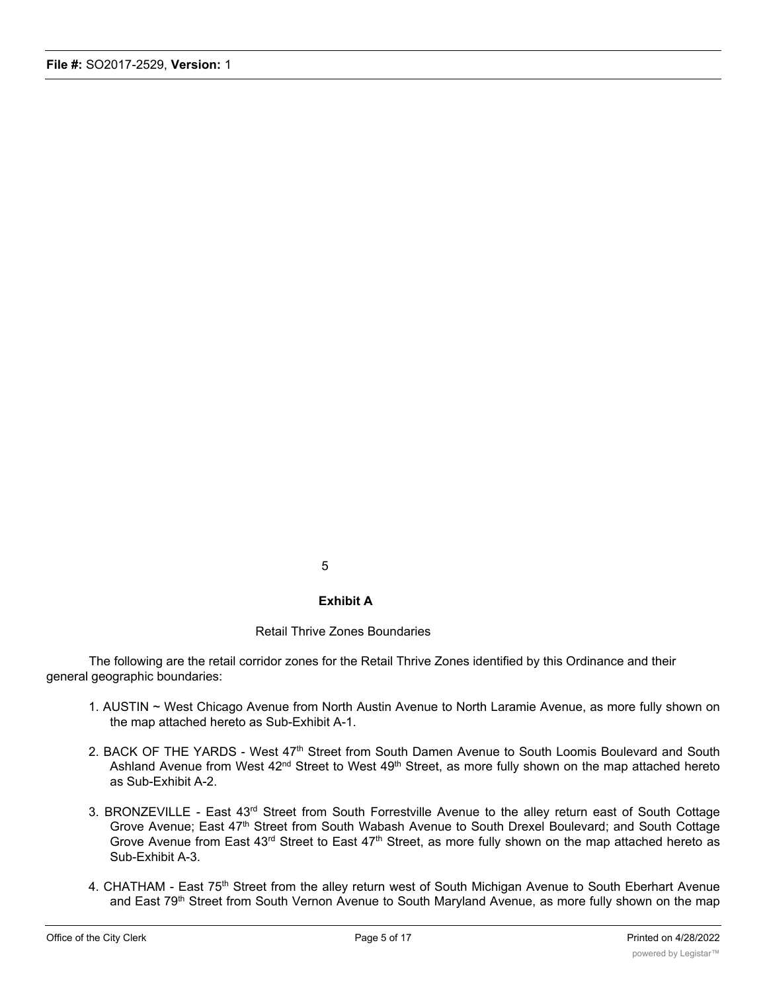5

### **Exhibit A**

### Retail Thrive Zones Boundaries

The following are the retail corridor zones for the Retail Thrive Zones identified by this Ordinance and their general geographic boundaries:

- 1. AUSTIN ~ West Chicago Avenue from North Austin Avenue to North Laramie Avenue, as more fully shown on the map attached hereto as Sub-Exhibit A-1.
- 2. BACK OF THE YARDS West 47<sup>th</sup> Street from South Damen Avenue to South Loomis Boulevard and South Ashland Avenue from West 42<sup>nd</sup> Street to West 49<sup>th</sup> Street, as more fully shown on the map attached hereto as Sub-Exhibit A-2.
- 3. BRONZEVILLE East 43<sup>rd</sup> Street from South Forrestville Avenue to the alley return east of South Cottage Grove Avenue; East 47<sup>th</sup> Street from South Wabash Avenue to South Drexel Boulevard; and South Cottage Grove Avenue, East 47 Groot hold Struct Wakedon Avenue to Secure Everence, and Francisco Street of Street to East 43<sup>rd</sup> Street, as more fully shown on the map attached hereto as Sub-Exhibit A-3.
- 4. CHATHAM East 75<sup>th</sup> Street from the alley return west of South Michigan Avenue to South Eberhart Avenue and East 79<sup>th</sup> Street from South Vernon Avenue to South Maryland Avenue, as more fully shown on the map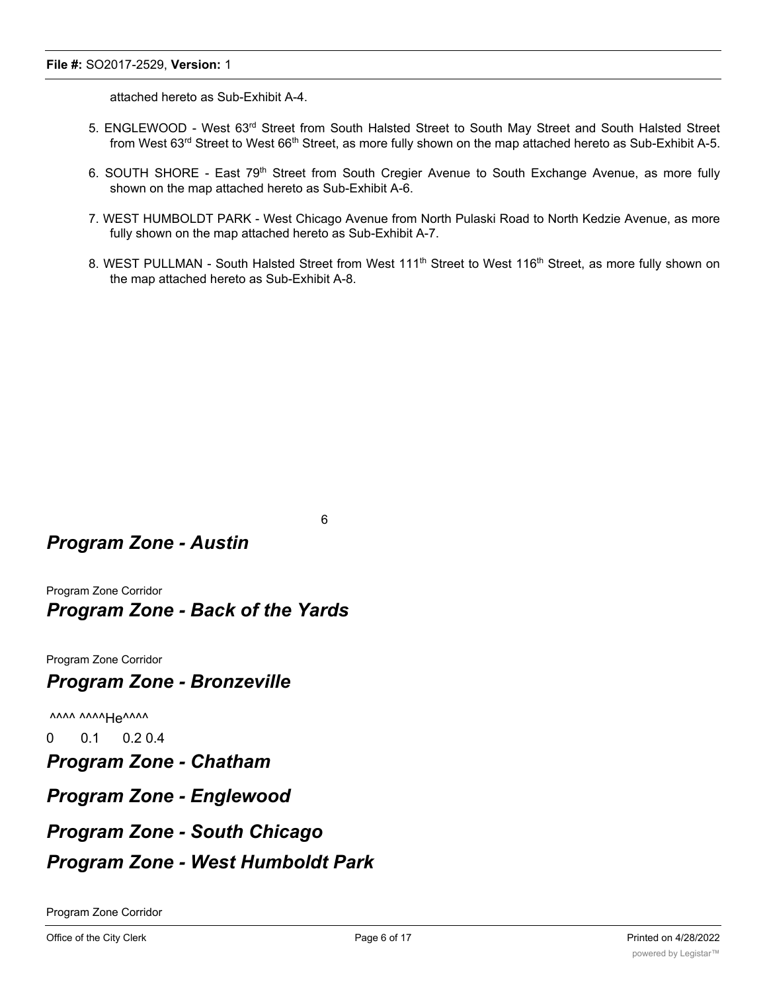attached hereto as Sub-Exhibit A-4.

- 5. ENGLEWOOD West 63rd Street from South Halsted Street to South May Street and South Halsted Street from West 63<sup>rd</sup> Street to West 66<sup>th</sup> Street, as more fully shown on the map attached hereto as Sub-Exhibit A-5.
- 6. SOUTH SHORE East 79<sup>th</sup> Street from South Cregier Avenue to South Exchange Avenue, as more fully shown on the map attached hereto as Sub-Exhibit A-6.
- 7. WEST HUMBOLDT PARK West Chicago Avenue from North Pulaski Road to North Kedzie Avenue, as more fully shown on the map attached hereto as Sub-Exhibit A-7.
- 8. WEST PULLMAN South Halsted Street from West 111<sup>th</sup> Street to West 116<sup>th</sup> Street, as more fully shown on the map attached hereto as Sub-Exhibit A-8.

6

# *Program Zone - Austin*

Program Zone Corridor *Program Zone - Back of the Yards*

Program Zone Corridor

## *Program Zone - Bronzeville*

 $\overline{X}$ 

0 0.1 0.2 0.4

*Program Zone - Chatham*

*Program Zone - Englewood*

## *Program Zone - South Chicago*

## *Program Zone - West Humboldt Park*

Program Zone Corridor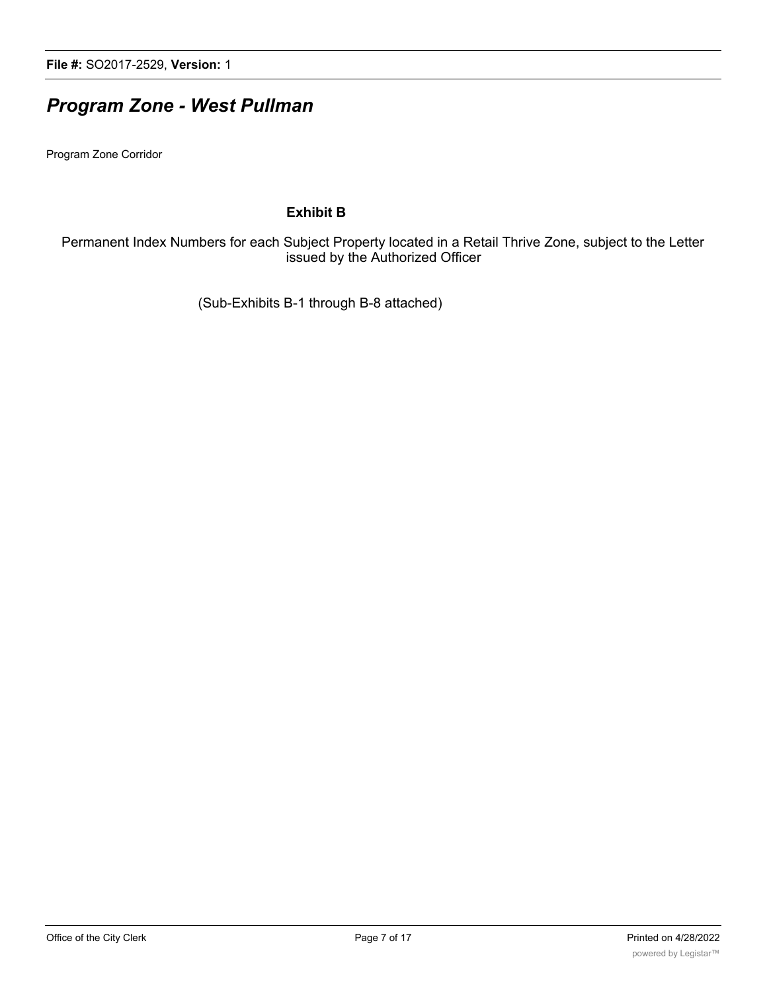# *Program Zone - West Pullman*

Program Zone Corridor

### **Exhibit B**

Permanent Index Numbers for each Subject Property located in a Retail Thrive Zone, subject to the Letter issued by the Authorized Officer

(Sub-Exhibits B-1 through B-8 attached)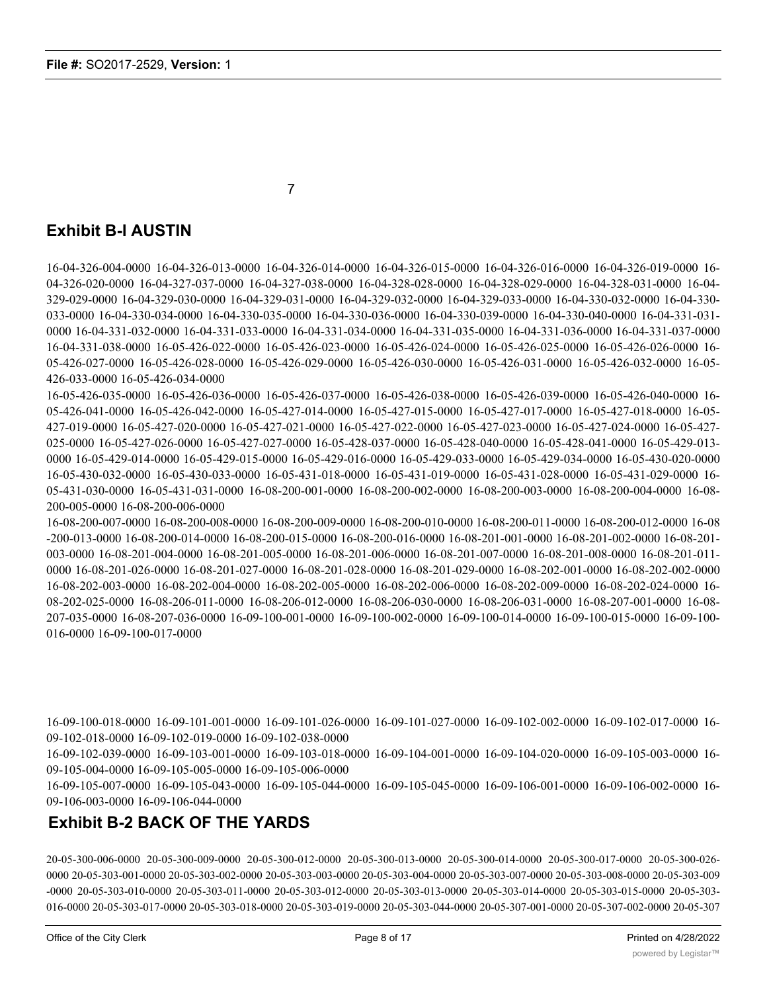7

## **Exhibit B-l AUSTIN**

16-04-326-004-0000 16-04-326-013-0000 16-04-326-014-0000 16-04-326-015-0000 16-04-326-016-0000 16-04-326-019-0000 16- 04-326-020-0000 16-04-327-037-0000 16-04-327-038-0000 16-04-328-028-0000 16-04-328-029-0000 16-04-328-031-0000 16-04- 329-029-0000 16-04-329-030-0000 16-04-329-031-0000 16-04-329-032-0000 16-04-329-033-0000 16-04-330-032-0000 16-04-330- 033-0000 16-04-330-034-0000 16-04-330-035-0000 16-04-330-036-0000 16-04-330-039-0000 16-04-330-040-0000 16-04-331-031- 0000 16-04-331-032-0000 16-04-331-033-0000 16-04-331-034-0000 16-04-331-035-0000 16-04-331-036-0000 16-04-331-037-0000 16-04-331-038-0000 16-05-426-022-0000 16-05-426-023-0000 16-05-426-024-0000 16-05-426-025-0000 16-05-426-026-0000 16- 05-426-027-0000 16-05-426-028-0000 16-05-426-029-0000 16-05-426-030-0000 16-05-426-031-0000 16-05-426-032-0000 16-05- 426-033-0000 16-05-426-034-0000

16-05-426-035-0000 16-05-426-036-0000 16-05-426-037-0000 16-05-426-038-0000 16-05-426-039-0000 16-05-426-040-0000 16- 05-426-041-0000 16-05-426-042-0000 16-05-427-014-0000 16-05-427-015-0000 16-05-427-017-0000 16-05-427-018-0000 16-05- 427-019-0000 16-05-427-020-0000 16-05-427-021-0000 16-05-427-022-0000 16-05-427-023-0000 16-05-427-024-0000 16-05-427- 025-0000 16-05-427-026-0000 16-05-427-027-0000 16-05-428-037-0000 16-05-428-040-0000 16-05-428-041-0000 16-05-429-013- 0000 16-05-429-014-0000 16-05-429-015-0000 16-05-429-016-0000 16-05-429-033-0000 16-05-429-034-0000 16-05-430-020-0000 16-05-430-032-0000 16-05-430-033-0000 16-05-431-018-0000 16-05-431-019-0000 16-05-431-028-0000 16-05-431-029-0000 16- 05-431-030-0000 16-05-431-031-0000 16-08-200-001-0000 16-08-200-002-0000 16-08-200-003-0000 16-08-200-004-0000 16-08- 200-005-0000 16-08-200-006-0000

16-08-200-007-0000 16-08-200-008-0000 16-08-200-009-0000 16-08-200-010-0000 16-08-200-011-0000 16-08-200-012-0000 16-08 -200-013-0000 16-08-200-014-0000 16-08-200-015-0000 16-08-200-016-0000 16-08-201-001-0000 16-08-201-002-0000 16-08-201- 003-0000 16-08-201-004-0000 16-08-201-005-0000 16-08-201-006-0000 16-08-201-007-0000 16-08-201-008-0000 16-08-201-011- 0000 16-08-201-026-0000 16-08-201-027-0000 16-08-201-028-0000 16-08-201-029-0000 16-08-202-001-0000 16-08-202-002-0000 16-08-202-003-0000 16-08-202-004-0000 16-08-202-005-0000 16-08-202-006-0000 16-08-202-009-0000 16-08-202-024-0000 16- 08-202-025-0000 16-08-206-011-0000 16-08-206-012-0000 16-08-206-030-0000 16-08-206-031-0000 16-08-207-001-0000 16-08- 207-035-0000 16-08-207-036-0000 16-09-100-001-0000 16-09-100-002-0000 16-09-100-014-0000 16-09-100-015-0000 16-09-100- 016-0000 16-09-100-017-0000

16-09-100-018-0000 16-09-101-001-0000 16-09-101-026-0000 16-09-101-027-0000 16-09-102-002-0000 16-09-102-017-0000 16- 09-102-018-0000 16-09-102-019-0000 16-09-102-038-0000

16-09-102-039-0000 16-09-103-001-0000 16-09-103-018-0000 16-09-104-001-0000 16-09-104-020-0000 16-09-105-003-0000 16- 09-105-004-0000 16-09-105-005-0000 16-09-105-006-0000

16-09-105-007-0000 16-09-105-043-0000 16-09-105-044-0000 16-09-105-045-0000 16-09-106-001-0000 16-09-106-002-0000 16- 09-106-003-0000 16-09-106-044-0000

## **Exhibit B-2 BACK OF THE YARDS**

20-05-300-006-0000 20-05-300-009-0000 20-05-300-012-0000 20-05-300-013-0000 20-05-300-014-0000 20-05-300-017-0000 20-05-300-026- 0000 20-05-303-001-0000 20-05-303-002-0000 20-05-303-003-0000 20-05-303-004-0000 20-05-303-007-0000 20-05-303-008-0000 20-05-303-009 -0000 20-05-303-010-0000 20-05-303-011-0000 20-05-303-012-0000 20-05-303-013-0000 20-05-303-014-0000 20-05-303-015-0000 20-05-303- 016-0000 20-05-303-017-0000 20-05-303-018-0000 20-05-303-019-0000 20-05-303-044-0000 20-05-307-001-0000 20-05-307-002-0000 20-05-307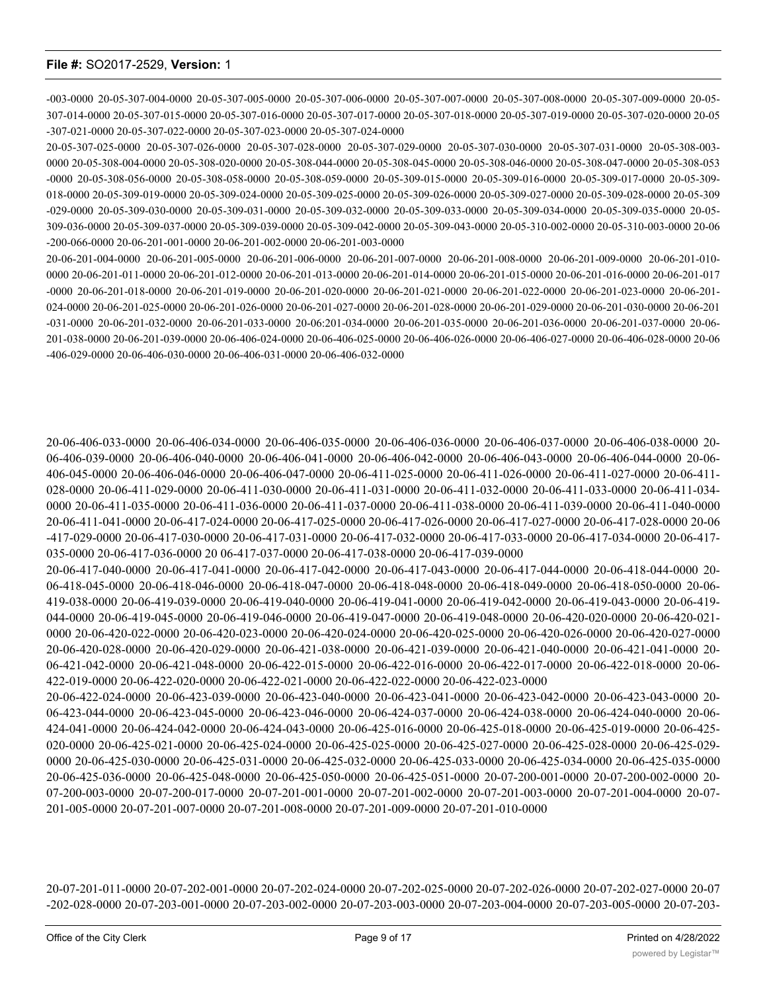-003-0000 20-05-307-004-0000 20-05-307-005-0000 20-05-307-006-0000 20-05-307-007-0000 20-05-307-008-0000 20-05-307-009-0000 20-05- 307-014-0000 20-05-307-015-0000 20-05-307-016-0000 20-05-307-017-0000 20-05-307-018-0000 20-05-307-019-0000 20-05-307-020-0000 20-05 -307-021-0000 20-05-307-022-0000 20-05-307-023-0000 20-05-307-024-0000

20-05-307-025-0000 20-05-307-026-0000 20-05-307-028-0000 20-05-307-029-0000 20-05-307-030-0000 20-05-307-031-0000 20-05-308-003- 0000 20-05-308-004-0000 20-05-308-020-0000 20-05-308-044-0000 20-05-308-045-0000 20-05-308-046-0000 20-05-308-047-0000 20-05-308-053 -0000 20-05-308-056-0000 20-05-308-058-0000 20-05-308-059-0000 20-05-309-015-0000 20-05-309-016-0000 20-05-309-017-0000 20-05-309- 018-0000 20-05-309-019-0000 20-05-309-024-0000 20-05-309-025-0000 20-05-309-026-0000 20-05-309-027-0000 20-05-309-028-0000 20-05-309 -029-0000 20-05-309-030-0000 20-05-309-031-0000 20-05-309-032-0000 20-05-309-033-0000 20-05-309-034-0000 20-05-309-035-0000 20-05- 309-036-0000 20-05-309-037-0000 20-05-309-039-0000 20-05-309-042-0000 20-05-309-043-0000 20-05-310-002-0000 20-05-310-003-0000 20-06 -200-066-0000 20-06-201-001-0000 20-06-201-002-0000 20-06-201-003-0000

20-06-201-004-0000 20-06-201-005-0000 20-06-201-006-0000 20-06-201-007-0000 20-06-201-008-0000 20-06-201-009-0000 20-06-201-010- 0000 20-06-201-011-0000 20-06-201-012-0000 20-06-201-013-0000 20-06-201-014-0000 20-06-201-015-0000 20-06-201-016-0000 20-06-201-017 -0000 20-06-201-018-0000 20-06-201-019-0000 20-06-201-020-0000 20-06-201-021-0000 20-06-201-022-0000 20-06-201-023-0000 20-06-201- 024-0000 20-06-201-025-0000 20-06-201-026-0000 20-06-201-027-0000 20-06-201-028-0000 20-06-201-029-0000 20-06-201-030-0000 20-06-201 -031-0000 20-06-201-032-0000 20-06-201-033-0000 20-06:201-034-0000 20-06-201-035-0000 20-06-201-036-0000 20-06-201-037-0000 20-06- 201-038-0000 20-06-201-039-0000 20-06-406-024-0000 20-06-406-025-0000 20-06-406-026-0000 20-06-406-027-0000 20-06-406-028-0000 20-06 -406-029-0000 20-06-406-030-0000 20-06-406-031-0000 20-06-406-032-0000

20-06-406-033-0000 20-06-406-034-0000 20-06-406-035-0000 20-06-406-036-0000 20-06-406-037-0000 20-06-406-038-0000 20- 06-406-039-0000 20-06-406-040-0000 20-06-406-041-0000 20-06-406-042-0000 20-06-406-043-0000 20-06-406-044-0000 20-06- 406-045-0000 20-06-406-046-0000 20-06-406-047-0000 20-06-411-025-0000 20-06-411-026-0000 20-06-411-027-0000 20-06-411- 028-0000 20-06-411-029-0000 20-06-411-030-0000 20-06-411-031-0000 20-06-411-032-0000 20-06-411-033-0000 20-06-411-034- 0000 20-06-411-035-0000 20-06-411-036-0000 20-06-411-037-0000 20-06-411-038-0000 20-06-411-039-0000 20-06-411-040-0000 20-06-411-041-0000 20-06-417-024-0000 20-06-417-025-0000 20-06-417-026-0000 20-06-417-027-0000 20-06-417-028-0000 20-06 -417-029-0000 20-06-417-030-0000 20-06-417-031-0000 20-06-417-032-0000 20-06-417-033-0000 20-06-417-034-0000 20-06-417- 035-0000 20-06-417-036-0000 20 06-417-037-0000 20-06-417-038-0000 20-06-417-039-0000

20-06-417-040-0000 20-06-417-041-0000 20-06-417-042-0000 20-06-417-043-0000 20-06-417-044-0000 20-06-418-044-0000 20- 06-418-045-0000 20-06-418-046-0000 20-06-418-047-0000 20-06-418-048-0000 20-06-418-049-0000 20-06-418-050-0000 20-06- 419-038-0000 20-06-419-039-0000 20-06-419-040-0000 20-06-419-041-0000 20-06-419-042-0000 20-06-419-043-0000 20-06-419- 044-0000 20-06-419-045-0000 20-06-419-046-0000 20-06-419-047-0000 20-06-419-048-0000 20-06-420-020-0000 20-06-420-021- 0000 20-06-420-022-0000 20-06-420-023-0000 20-06-420-024-0000 20-06-420-025-0000 20-06-420-026-0000 20-06-420-027-0000 20-06-420-028-0000 20-06-420-029-0000 20-06-421-038-0000 20-06-421-039-0000 20-06-421-040-0000 20-06-421-041-0000 20- 06-421-042-0000 20-06-421-048-0000 20-06-422-015-0000 20-06-422-016-0000 20-06-422-017-0000 20-06-422-018-0000 20-06- 422-019-0000 20-06-422-020-0000 20-06-422-021-0000 20-06-422-022-0000 20-06-422-023-0000

20-06-422-024-0000 20-06-423-039-0000 20-06-423-040-0000 20-06-423-041-0000 20-06-423-042-0000 20-06-423-043-0000 20- 06-423-044-0000 20-06-423-045-0000 20-06-423-046-0000 20-06-424-037-0000 20-06-424-038-0000 20-06-424-040-0000 20-06- 424-041-0000 20-06-424-042-0000 20-06-424-043-0000 20-06-425-016-0000 20-06-425-018-0000 20-06-425-019-0000 20-06-425- 020-0000 20-06-425-021-0000 20-06-425-024-0000 20-06-425-025-0000 20-06-425-027-0000 20-06-425-028-0000 20-06-425-029- 0000 20-06-425-030-0000 20-06-425-031-0000 20-06-425-032-0000 20-06-425-033-0000 20-06-425-034-0000 20-06-425-035-0000 20-06-425-036-0000 20-06-425-048-0000 20-06-425-050-0000 20-06-425-051-0000 20-07-200-001-0000 20-07-200-002-0000 20- 07-200-003-0000 20-07-200-017-0000 20-07-201-001-0000 20-07-201-002-0000 20-07-201-003-0000 20-07-201-004-0000 20-07- 201-005-0000 20-07-201-007-0000 20-07-201-008-0000 20-07-201-009-0000 20-07-201-010-0000

20-07-201-011-0000 20-07-202-001-0000 20-07-202-024-0000 20-07-202-025-0000 20-07-202-026-0000 20-07-202-027-0000 20-07 -202-028-0000 20-07-203-001-0000 20-07-203-002-0000 20-07-203-003-0000 20-07-203-004-0000 20-07-203-005-0000 20-07-203-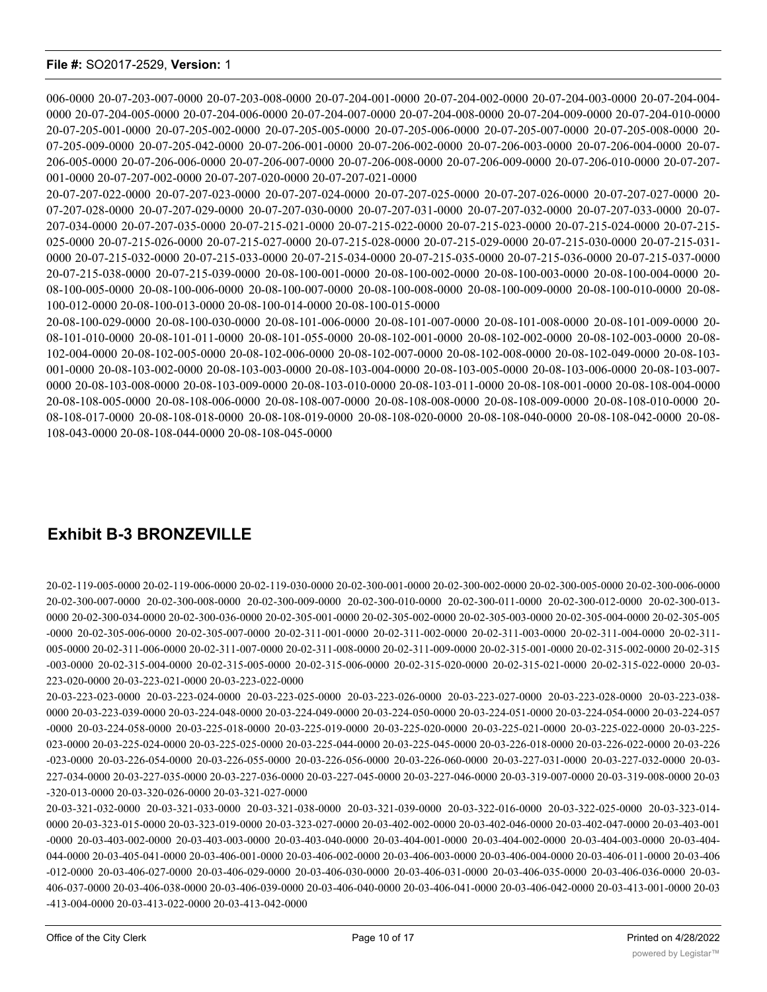006-0000 20-07-203-007-0000 20-07-203-008-0000 20-07-204-001-0000 20-07-204-002-0000 20-07-204-003-0000 20-07-204-004- 0000 20-07-204-005-0000 20-07-204-006-0000 20-07-204-007-0000 20-07-204-008-0000 20-07-204-009-0000 20-07-204-010-0000 20-07-205-001-0000 20-07-205-002-0000 20-07-205-005-0000 20-07-205-006-0000 20-07-205-007-0000 20-07-205-008-0000 20- 07-205-009-0000 20-07-205-042-0000 20-07-206-001-0000 20-07-206-002-0000 20-07-206-003-0000 20-07-206-004-0000 20-07- 206-005-0000 20-07-206-006-0000 20-07-206-007-0000 20-07-206-008-0000 20-07-206-009-0000 20-07-206-010-0000 20-07-207- 001-0000 20-07-207-002-0000 20-07-207-020-0000 20-07-207-021-0000

20-07-207-022-0000 20-07-207-023-0000 20-07-207-024-0000 20-07-207-025-0000 20-07-207-026-0000 20-07-207-027-0000 20- 07-207-028-0000 20-07-207-029-0000 20-07-207-030-0000 20-07-207-031-0000 20-07-207-032-0000 20-07-207-033-0000 20-07- 207-034-0000 20-07-207-035-0000 20-07-215-021-0000 20-07-215-022-0000 20-07-215-023-0000 20-07-215-024-0000 20-07-215- 025-0000 20-07-215-026-0000 20-07-215-027-0000 20-07-215-028-0000 20-07-215-029-0000 20-07-215-030-0000 20-07-215-031- 0000 20-07-215-032-0000 20-07-215-033-0000 20-07-215-034-0000 20-07-215-035-0000 20-07-215-036-0000 20-07-215-037-0000 20-07-215-038-0000 20-07-215-039-0000 20-08-100-001-0000 20-08-100-002-0000 20-08-100-003-0000 20-08-100-004-0000 20- 08-100-005-0000 20-08-100-006-0000 20-08-100-007-0000 20-08-100-008-0000 20-08-100-009-0000 20-08-100-010-0000 20-08- 100-012-0000 20-08-100-013-0000 20-08-100-014-0000 20-08-100-015-0000

20-08-100-029-0000 20-08-100-030-0000 20-08-101-006-0000 20-08-101-007-0000 20-08-101-008-0000 20-08-101-009-0000 20- 08-101-010-0000 20-08-101-011-0000 20-08-101-055-0000 20-08-102-001-0000 20-08-102-002-0000 20-08-102-003-0000 20-08- 102-004-0000 20-08-102-005-0000 20-08-102-006-0000 20-08-102-007-0000 20-08-102-008-0000 20-08-102-049-0000 20-08-103- 001-0000 20-08-103-002-0000 20-08-103-003-0000 20-08-103-004-0000 20-08-103-005-0000 20-08-103-006-0000 20-08-103-007- 0000 20-08-103-008-0000 20-08-103-009-0000 20-08-103-010-0000 20-08-103-011-0000 20-08-108-001-0000 20-08-108-004-0000 20-08-108-005-0000 20-08-108-006-0000 20-08-108-007-0000 20-08-108-008-0000 20-08-108-009-0000 20-08-108-010-0000 20- 08-108-017-0000 20-08-108-018-0000 20-08-108-019-0000 20-08-108-020-0000 20-08-108-040-0000 20-08-108-042-0000 20-08- 108-043-0000 20-08-108-044-0000 20-08-108-045-0000

## **Exhibit B-3 BRONZEVILLE**

20-02-119-005-0000 20-02-119-006-0000 20-02-119-030-0000 20-02-300-001-0000 20-02-300-002-0000 20-02-300-005-0000 20-02-300-006-0000 20-02-300-007-0000 20-02-300-008-0000 20-02-300-009-0000 20-02-300-010-0000 20-02-300-011-0000 20-02-300-012-0000 20-02-300-013- 0000 20-02-300-034-0000 20-02-300-036-0000 20-02-305-001-0000 20-02-305-002-0000 20-02-305-003-0000 20-02-305-004-0000 20-02-305-005 -0000 20-02-305-006-0000 20-02-305-007-0000 20-02-311-001-0000 20-02-311-002-0000 20-02-311-003-0000 20-02-311-004-0000 20-02-311- 005-0000 20-02-311-006-0000 20-02-311-007-0000 20-02-311-008-0000 20-02-311-009-0000 20-02-315-001-0000 20-02-315-002-0000 20-02-315 -003-0000 20-02-315-004-0000 20-02-315-005-0000 20-02-315-006-0000 20-02-315-020-0000 20-02-315-021-0000 20-02-315-022-0000 20-03- 223-020-0000 20-03-223-021-0000 20-03-223-022-0000

20-03-223-023-0000 20-03-223-024-0000 20-03-223-025-0000 20-03-223-026-0000 20-03-223-027-0000 20-03-223-028-0000 20-03-223-038- 0000 20-03-223-039-0000 20-03-224-048-0000 20-03-224-049-0000 20-03-224-050-0000 20-03-224-051-0000 20-03-224-054-0000 20-03-224-057 -0000 20-03-224-058-0000 20-03-225-018-0000 20-03-225-019-0000 20-03-225-020-0000 20-03-225-021-0000 20-03-225-022-0000 20-03-225- 023-0000 20-03-225-024-0000 20-03-225-025-0000 20-03-225-044-0000 20-03-225-045-0000 20-03-226-018-0000 20-03-226-022-0000 20-03-226 -023-0000 20-03-226-054-0000 20-03-226-055-0000 20-03-226-056-0000 20-03-226-060-0000 20-03-227-031-0000 20-03-227-032-0000 20-03- 227-034-0000 20-03-227-035-0000 20-03-227-036-0000 20-03-227-045-0000 20-03-227-046-0000 20-03-319-007-0000 20-03-319-008-0000 20-03 -320-013-0000 20-03-320-026-0000 20-03-321-027-0000

20-03-321-032-0000 20-03-321-033-0000 20-03-321-038-0000 20-03-321-039-0000 20-03-322-016-0000 20-03-322-025-0000 20-03-323-014- 0000 20-03-323-015-0000 20-03-323-019-0000 20-03-323-027-0000 20-03-402-002-0000 20-03-402-046-0000 20-03-402-047-0000 20-03-403-001 -0000 20-03-403-002-0000 20-03-403-003-0000 20-03-403-040-0000 20-03-404-001-0000 20-03-404-002-0000 20-03-404-003-0000 20-03-404- 044-0000 20-03-405-041-0000 20-03-406-001-0000 20-03-406-002-0000 20-03-406-003-0000 20-03-406-004-0000 20-03-406-011-0000 20-03-406 -012-0000 20-03-406-027-0000 20-03-406-029-0000 20-03-406-030-0000 20-03-406-031-0000 20-03-406-035-0000 20-03-406-036-0000 20-03- 406-037-0000 20-03-406-038-0000 20-03-406-039-0000 20-03-406-040-0000 20-03-406-041-0000 20-03-406-042-0000 20-03-413-001-0000 20-03 -413-004-0000 20-03-413-022-0000 20-03-413-042-0000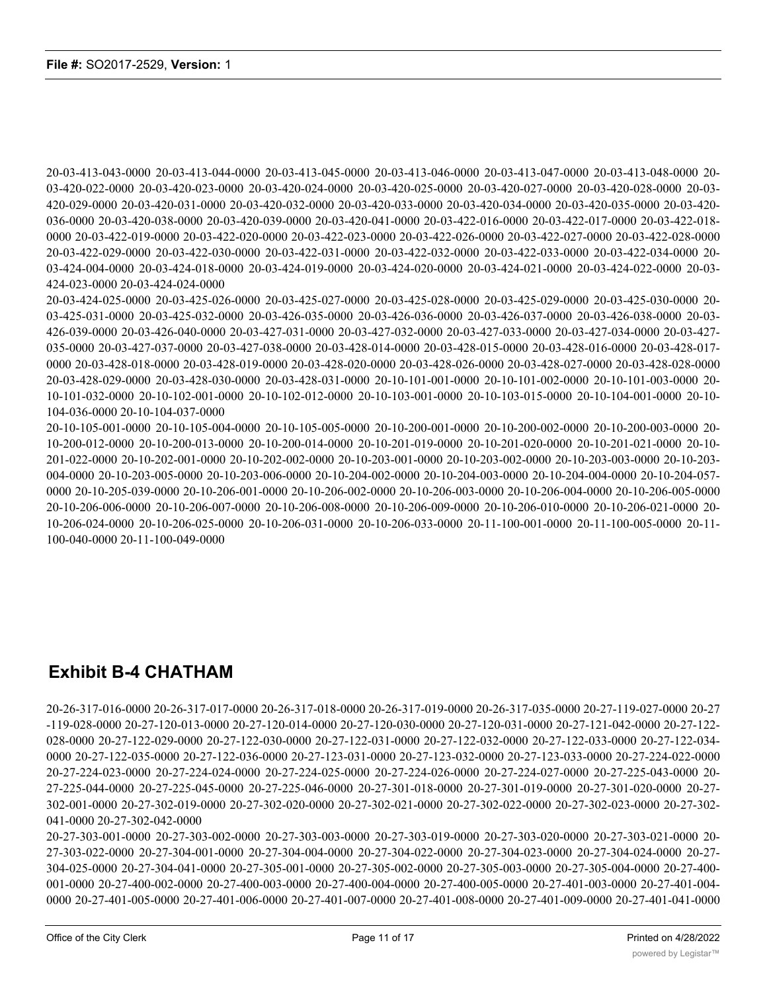20-03-413-043-0000 20-03-413-044-0000 20-03-413-045-0000 20-03-413-046-0000 20-03-413-047-0000 20-03-413-048-0000 20- 03-420-022-0000 20-03-420-023-0000 20-03-420-024-0000 20-03-420-025-0000 20-03-420-027-0000 20-03-420-028-0000 20-03- 420-029-0000 20-03-420-031-0000 20-03-420-032-0000 20-03-420-033-0000 20-03-420-034-0000 20-03-420-035-0000 20-03-420- 036-0000 20-03-420-038-0000 20-03-420-039-0000 20-03-420-041-0000 20-03-422-016-0000 20-03-422-017-0000 20-03-422-018- 0000 20-03-422-019-0000 20-03-422-020-0000 20-03-422-023-0000 20-03-422-026-0000 20-03-422-027-0000 20-03-422-028-0000 20-03-422-029-0000 20-03-422-030-0000 20-03-422-031-0000 20-03-422-032-0000 20-03-422-033-0000 20-03-422-034-0000 20- 03-424-004-0000 20-03-424-018-0000 20-03-424-019-0000 20-03-424-020-0000 20-03-424-021-0000 20-03-424-022-0000 20-03- 424-023-0000 20-03-424-024-0000

20-03-424-025-0000 20-03-425-026-0000 20-03-425-027-0000 20-03-425-028-0000 20-03-425-029-0000 20-03-425-030-0000 20- 03-425-031-0000 20-03-425-032-0000 20-03-426-035-0000 20-03-426-036-0000 20-03-426-037-0000 20-03-426-038-0000 20-03- 426-039-0000 20-03-426-040-0000 20-03-427-031-0000 20-03-427-032-0000 20-03-427-033-0000 20-03-427-034-0000 20-03-427- 035-0000 20-03-427-037-0000 20-03-427-038-0000 20-03-428-014-0000 20-03-428-015-0000 20-03-428-016-0000 20-03-428-017- 0000 20-03-428-018-0000 20-03-428-019-0000 20-03-428-020-0000 20-03-428-026-0000 20-03-428-027-0000 20-03-428-028-0000 20-03-428-029-0000 20-03-428-030-0000 20-03-428-031-0000 20-10-101-001-0000 20-10-101-002-0000 20-10-101-003-0000 20- 10-101-032-0000 20-10-102-001-0000 20-10-102-012-0000 20-10-103-001-0000 20-10-103-015-0000 20-10-104-001-0000 20-10- 104-036-0000 20-10-104-037-0000

20-10-105-001-0000 20-10-105-004-0000 20-10-105-005-0000 20-10-200-001-0000 20-10-200-002-0000 20-10-200-003-0000 20- 10-200-012-0000 20-10-200-013-0000 20-10-200-014-0000 20-10-201-019-0000 20-10-201-020-0000 20-10-201-021-0000 20-10- 201-022-0000 20-10-202-001-0000 20-10-202-002-0000 20-10-203-001-0000 20-10-203-002-0000 20-10-203-003-0000 20-10-203- 004-0000 20-10-203-005-0000 20-10-203-006-0000 20-10-204-002-0000 20-10-204-003-0000 20-10-204-004-0000 20-10-204-057- 0000 20-10-205-039-0000 20-10-206-001-0000 20-10-206-002-0000 20-10-206-003-0000 20-10-206-004-0000 20-10-206-005-0000 20-10-206-006-0000 20-10-206-007-0000 20-10-206-008-0000 20-10-206-009-0000 20-10-206-010-0000 20-10-206-021-0000 20- 10-206-024-0000 20-10-206-025-0000 20-10-206-031-0000 20-10-206-033-0000 20-11-100-001-0000 20-11-100-005-0000 20-11- 100-040-0000 20-11-100-049-0000

# **Exhibit B-4 CHATHAM**

20-26-317-016-0000 20-26-317-017-0000 20-26-317-018-0000 20-26-317-019-0000 20-26-317-035-0000 20-27-119-027-0000 20-27 -119-028-0000 20-27-120-013-0000 20-27-120-014-0000 20-27-120-030-0000 20-27-120-031-0000 20-27-121-042-0000 20-27-122- 028-0000 20-27-122-029-0000 20-27-122-030-0000 20-27-122-031-0000 20-27-122-032-0000 20-27-122-033-0000 20-27-122-034- 0000 20-27-122-035-0000 20-27-122-036-0000 20-27-123-031-0000 20-27-123-032-0000 20-27-123-033-0000 20-27-224-022-0000 20-27-224-023-0000 20-27-224-024-0000 20-27-224-025-0000 20-27-224-026-0000 20-27-224-027-0000 20-27-225-043-0000 20- 27-225-044-0000 20-27-225-045-0000 20-27-225-046-0000 20-27-301-018-0000 20-27-301-019-0000 20-27-301-020-0000 20-27- 302-001-0000 20-27-302-019-0000 20-27-302-020-0000 20-27-302-021-0000 20-27-302-022-0000 20-27-302-023-0000 20-27-302- 041-0000 20-27-302-042-0000

20-27-303-001-0000 20-27-303-002-0000 20-27-303-003-0000 20-27-303-019-0000 20-27-303-020-0000 20-27-303-021-0000 20- 27-303-022-0000 20-27-304-001-0000 20-27-304-004-0000 20-27-304-022-0000 20-27-304-023-0000 20-27-304-024-0000 20-27- 304-025-0000 20-27-304-041-0000 20-27-305-001-0000 20-27-305-002-0000 20-27-305-003-0000 20-27-305-004-0000 20-27-400- 001-0000 20-27-400-002-0000 20-27-400-003-0000 20-27-400-004-0000 20-27-400-005-0000 20-27-401-003-0000 20-27-401-004- 0000 20-27-401-005-0000 20-27-401-006-0000 20-27-401-007-0000 20-27-401-008-0000 20-27-401-009-0000 20-27-401-041-0000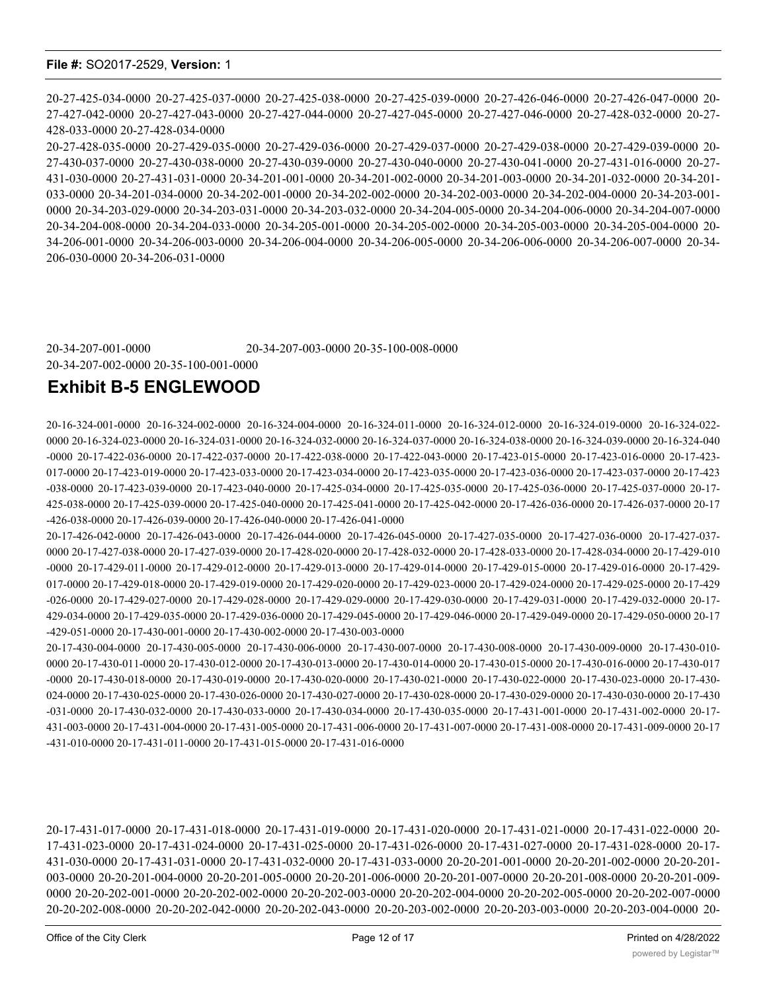20-27-425-034-0000 20-27-425-037-0000 20-27-425-038-0000 20-27-425-039-0000 20-27-426-046-0000 20-27-426-047-0000 20- 27-427-042-0000 20-27-427-043-0000 20-27-427-044-0000 20-27-427-045-0000 20-27-427-046-0000 20-27-428-032-0000 20-27- 428-033-0000 20-27-428-034-0000

20-27-428-035-0000 20-27-429-035-0000 20-27-429-036-0000 20-27-429-037-0000 20-27-429-038-0000 20-27-429-039-0000 20- 27-430-037-0000 20-27-430-038-0000 20-27-430-039-0000 20-27-430-040-0000 20-27-430-041-0000 20-27-431-016-0000 20-27- 431-030-0000 20-27-431-031-0000 20-34-201-001-0000 20-34-201-002-0000 20-34-201-003-0000 20-34-201-032-0000 20-34-201- 033-0000 20-34-201-034-0000 20-34-202-001-0000 20-34-202-002-0000 20-34-202-003-0000 20-34-202-004-0000 20-34-203-001- 0000 20-34-203-029-0000 20-34-203-031-0000 20-34-203-032-0000 20-34-204-005-0000 20-34-204-006-0000 20-34-204-007-0000 20-34-204-008-0000 20-34-204-033-0000 20-34-205-001-0000 20-34-205-002-0000 20-34-205-003-0000 20-34-205-004-0000 20- 34-206-001-0000 20-34-206-003-0000 20-34-206-004-0000 20-34-206-005-0000 20-34-206-006-0000 20-34-206-007-0000 20-34- 206-030-0000 20-34-206-031-0000

20-34-207-001-0000 20-34-207-003-0000 20-35-100-008-0000 20-34-207-002-0000 20-35-100-001-0000

## **Exhibit B-5 ENGLEWOOD**

20-16-324-001-0000 20-16-324-002-0000 20-16-324-004-0000 20-16-324-011-0000 20-16-324-012-0000 20-16-324-019-0000 20-16-324-022- 0000 20-16-324-023-0000 20-16-324-031-0000 20-16-324-032-0000 20-16-324-037-0000 20-16-324-038-0000 20-16-324-039-0000 20-16-324-040 -0000 20-17-422-036-0000 20-17-422-037-0000 20-17-422-038-0000 20-17-422-043-0000 20-17-423-015-0000 20-17-423-016-0000 20-17-423- 017-0000 20-17-423-019-0000 20-17-423-033-0000 20-17-423-034-0000 20-17-423-035-0000 20-17-423-036-0000 20-17-423-037-0000 20-17-423 -038-0000 20-17-423-039-0000 20-17-423-040-0000 20-17-425-034-0000 20-17-425-035-0000 20-17-425-036-0000 20-17-425-037-0000 20-17- 425-038-0000 20-17-425-039-0000 20-17-425-040-0000 20-17-425-041-0000 20-17-425-042-0000 20-17-426-036-0000 20-17-426-037-0000 20-17 -426-038-0000 20-17-426-039-0000 20-17-426-040-0000 20-17-426-041-0000

20-17-426-042-0000 20-17-426-043-0000 20-17-426-044-0000 20-17-426-045-0000 20-17-427-035-0000 20-17-427-036-0000 20-17-427-037- 0000 20-17-427-038-0000 20-17-427-039-0000 20-17-428-020-0000 20-17-428-032-0000 20-17-428-033-0000 20-17-428-034-0000 20-17-429-010 -0000 20-17-429-011-0000 20-17-429-012-0000 20-17-429-013-0000 20-17-429-014-0000 20-17-429-015-0000 20-17-429-016-0000 20-17-429- 017-0000 20-17-429-018-0000 20-17-429-019-0000 20-17-429-020-0000 20-17-429-023-0000 20-17-429-024-0000 20-17-429-025-0000 20-17-429 -026-0000 20-17-429-027-0000 20-17-429-028-0000 20-17-429-029-0000 20-17-429-030-0000 20-17-429-031-0000 20-17-429-032-0000 20-17- 429-034-0000 20-17-429-035-0000 20-17-429-036-0000 20-17-429-045-0000 20-17-429-046-0000 20-17-429-049-0000 20-17-429-050-0000 20-17 -429-051-0000 20-17-430-001-0000 20-17-430-002-0000 20-17-430-003-0000

20-17-430-004-0000 20-17-430-005-0000 20-17-430-006-0000 20-17-430-007-0000 20-17-430-008-0000 20-17-430-009-0000 20-17-430-010- 0000 20-17-430-011-0000 20-17-430-012-0000 20-17-430-013-0000 20-17-430-014-0000 20-17-430-015-0000 20-17-430-016-0000 20-17-430-017 -0000 20-17-430-018-0000 20-17-430-019-0000 20-17-430-020-0000 20-17-430-021-0000 20-17-430-022-0000 20-17-430-023-0000 20-17-430- 024-0000 20-17-430-025-0000 20-17-430-026-0000 20-17-430-027-0000 20-17-430-028-0000 20-17-430-029-0000 20-17-430-030-0000 20-17-430 -031-0000 20-17-430-032-0000 20-17-430-033-0000 20-17-430-034-0000 20-17-430-035-0000 20-17-431-001-0000 20-17-431-002-0000 20-17- 431-003-0000 20-17-431-004-0000 20-17-431-005-0000 20-17-431-006-0000 20-17-431-007-0000 20-17-431-008-0000 20-17-431-009-0000 20-17 -431-010-0000 20-17-431-011-0000 20-17-431-015-0000 20-17-431-016-0000

20-17-431-017-0000 20-17-431-018-0000 20-17-431-019-0000 20-17-431-020-0000 20-17-431-021-0000 20-17-431-022-0000 20- 17-431-023-0000 20-17-431-024-0000 20-17-431-025-0000 20-17-431-026-0000 20-17-431-027-0000 20-17-431-028-0000 20-17- 431-030-0000 20-17-431-031-0000 20-17-431-032-0000 20-17-431-033-0000 20-20-201-001-0000 20-20-201-002-0000 20-20-201- 003-0000 20-20-201-004-0000 20-20-201-005-0000 20-20-201-006-0000 20-20-201-007-0000 20-20-201-008-0000 20-20-201-009- 0000 20-20-202-001-0000 20-20-202-002-0000 20-20-202-003-0000 20-20-202-004-0000 20-20-202-005-0000 20-20-202-007-0000 20-20-202-008-0000 20-20-202-042-0000 20-20-202-043-0000 20-20-203-002-0000 20-20-203-003-0000 20-20-203-004-0000 20-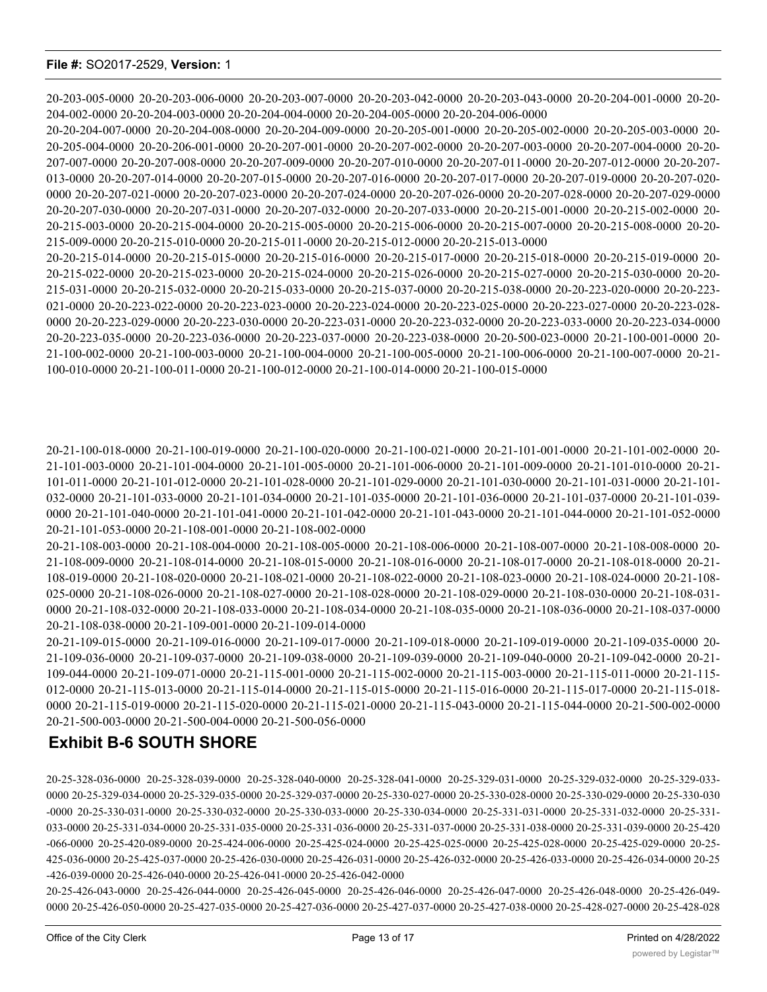20-25-426-043-0000 20-25-426-044-0000 20-25-426-045-0000 20-25-426-046-0000 20-25-426-047-0000 20-25-426-048-0000 20-25-426-049- 0000 20-25-426-050-0000 20-25-427-035-0000 20-25-427-036-0000 20-25-427-037-0000 20-25-427-038-0000 20-25-428-027-0000 20-25-428-028

20-25-328-036-0000 20-25-328-039-0000 20-25-328-040-0000 20-25-328-041-0000 20-25-329-031-0000 20-25-329-032-0000 20-25-329-033- 0000 20-25-329-034-0000 20-25-329-035-0000 20-25-329-037-0000 20-25-330-027-0000 20-25-330-028-0000 20-25-330-029-0000 20-25-330-030 -0000 20-25-330-031-0000 20-25-330-032-0000 20-25-330-033-0000 20-25-330-034-0000 20-25-331-031-0000 20-25-331-032-0000 20-25-331- 033-0000 20-25-331-034-0000 20-25-331-035-0000 20-25-331-036-0000 20-25-331-037-0000 20-25-331-038-0000 20-25-331-039-0000 20-25-420 -066-0000 20-25-420-089-0000 20-25-424-006-0000 20-25-425-024-0000 20-25-425-025-0000 20-25-425-028-0000 20-25-425-029-0000 20-25- 425-036-0000 20-25-425-037-0000 20-25-426-030-0000 20-25-426-031-0000 20-25-426-032-0000 20-25-426-033-0000 20-25-426-034-0000 20-25 -426-039-0000 20-25-426-040-0000 20-25-426-041-0000 20-25-426-042-0000

# **Exhibit B-6 SOUTH SHORE**

**File #:** SO2017-2529, **Version:** 1

21-109-036-0000 20-21-109-037-0000 20-21-109-038-0000 20-21-109-039-0000 20-21-109-040-0000 20-21-109-042-0000 20-21- 109-044-0000 20-21-109-071-0000 20-21-115-001-0000 20-21-115-002-0000 20-21-115-003-0000 20-21-115-011-0000 20-21-115- 012-0000 20-21-115-013-0000 20-21-115-014-0000 20-21-115-015-0000 20-21-115-016-0000 20-21-115-017-0000 20-21-115-018- 0000 20-21-115-019-0000 20-21-115-020-0000 20-21-115-021-0000 20-21-115-043-0000 20-21-115-044-0000 20-21-500-002-0000 20-21-500-003-0000 20-21-500-004-0000 20-21-500-056-0000

0000 20-21-108-032-0000 20-21-108-033-0000 20-21-108-034-0000 20-21-108-035-0000 20-21-108-036-0000 20-21-108-037-0000 20-21-108-038-0000 20-21-109-001-0000 20-21-109-014-0000 20-21-109-015-0000 20-21-109-016-0000 20-21-109-017-0000 20-21-109-018-0000 20-21-109-019-0000 20-21-109-035-0000 20-

20-21-100-018-0000 20-21-100-019-0000 20-21-100-020-0000 20-21-100-021-0000 20-21-101-001-0000 20-21-101-002-0000 20- 21-101-003-0000 20-21-101-004-0000 20-21-101-005-0000 20-21-101-006-0000 20-21-101-009-0000 20-21-101-010-0000 20-21- 101-011-0000 20-21-101-012-0000 20-21-101-028-0000 20-21-101-029-0000 20-21-101-030-0000 20-21-101-031-0000 20-21-101- 032-0000 20-21-101-033-0000 20-21-101-034-0000 20-21-101-035-0000 20-21-101-036-0000 20-21-101-037-0000 20-21-101-039- 0000 20-21-101-040-0000 20-21-101-041-0000 20-21-101-042-0000 20-21-101-043-0000 20-21-101-044-0000 20-21-101-052-0000 20-21-101-053-0000 20-21-108-001-0000 20-21-108-002-0000 20-21-108-003-0000 20-21-108-004-0000 20-21-108-005-0000 20-21-108-006-0000 20-21-108-007-0000 20-21-108-008-0000 20-

21-108-009-0000 20-21-108-014-0000 20-21-108-015-0000 20-21-108-016-0000 20-21-108-017-0000 20-21-108-018-0000 20-21- 108-019-0000 20-21-108-020-0000 20-21-108-021-0000 20-21-108-022-0000 20-21-108-023-0000 20-21-108-024-0000 20-21-108- 025-0000 20-21-108-026-0000 20-21-108-027-0000 20-21-108-028-0000 20-21-108-029-0000 20-21-108-030-0000 20-21-108-031-

20-20-207-030-0000 20-20-207-031-0000 20-20-207-032-0000 20-20-207-033-0000 20-20-215-001-0000 20-20-215-002-0000 20- 20-215-003-0000 20-20-215-004-0000 20-20-215-005-0000 20-20-215-006-0000 20-20-215-007-0000 20-20-215-008-0000 20-20- 215-009-0000 20-20-215-010-0000 20-20-215-011-0000 20-20-215-012-0000 20-20-215-013-0000 20-20-215-014-0000 20-20-215-015-0000 20-20-215-016-0000 20-20-215-017-0000 20-20-215-018-0000 20-20-215-019-0000 20- 20-215-022-0000 20-20-215-023-0000 20-20-215-024-0000 20-20-215-026-0000 20-20-215-027-0000 20-20-215-030-0000 20-20- 215-031-0000 20-20-215-032-0000 20-20-215-033-0000 20-20-215-037-0000 20-20-215-038-0000 20-20-223-020-0000 20-20-223- 021-0000 20-20-223-022-0000 20-20-223-023-0000 20-20-223-024-0000 20-20-223-025-0000 20-20-223-027-0000 20-20-223-028- 0000 20-20-223-029-0000 20-20-223-030-0000 20-20-223-031-0000 20-20-223-032-0000 20-20-223-033-0000 20-20-223-034-0000 20-20-223-035-0000 20-20-223-036-0000 20-20-223-037-0000 20-20-223-038-0000 20-20-500-023-0000 20-21-100-001-0000 20- 21-100-002-0000 20-21-100-003-0000 20-21-100-004-0000 20-21-100-005-0000 20-21-100-006-0000 20-21-100-007-0000 20-21- 100-010-0000 20-21-100-011-0000 20-21-100-012-0000 20-21-100-014-0000 20-21-100-015-0000

204-002-0000 20-20-204-003-0000 20-20-204-004-0000 20-20-204-005-0000 20-20-204-006-0000 20-20-204-007-0000 20-20-204-008-0000 20-20-204-009-0000 20-20-205-001-0000 20-20-205-002-0000 20-20-205-003-0000 20- 20-205-004-0000 20-20-206-001-0000 20-20-207-001-0000 20-20-207-002-0000 20-20-207-003-0000 20-20-207-004-0000 20-20- 207-007-0000 20-20-207-008-0000 20-20-207-009-0000 20-20-207-010-0000 20-20-207-011-0000 20-20-207-012-0000 20-20-207- 013-0000 20-20-207-014-0000 20-20-207-015-0000 20-20-207-016-0000 20-20-207-017-0000 20-20-207-019-0000 20-20-207-020- 0000 20-20-207-021-0000 20-20-207-023-0000 20-20-207-024-0000 20-20-207-026-0000 20-20-207-028-0000 20-20-207-029-0000

20-203-005-0000 20-20-203-006-0000 20-20-203-007-0000 20-20-203-042-0000 20-20-203-043-0000 20-20-204-001-0000 20-20-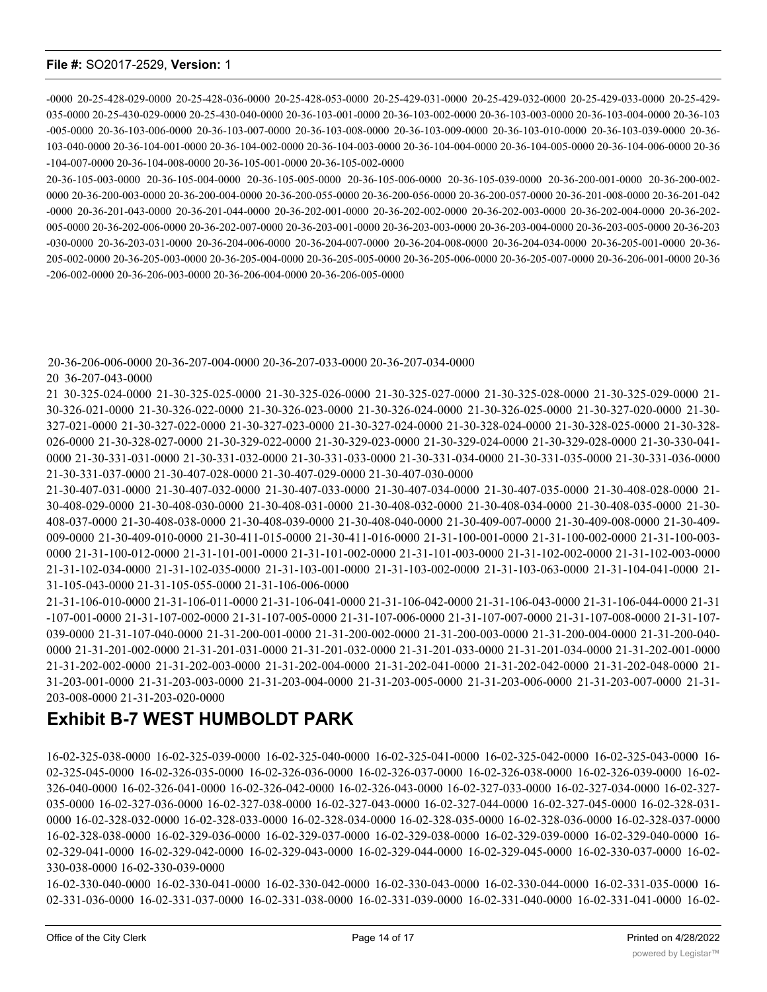-0000 20-25-428-029-0000 20-25-428-036-0000 20-25-428-053-0000 20-25-429-031-0000 20-25-429-032-0000 20-25-429-033-0000 20-25-429- 035-0000 20-25-430-029-0000 20-25-430-040-0000 20-36-103-001-0000 20-36-103-002-0000 20-36-103-003-0000 20-36-103-004-0000 20-36-103 -005-0000 20-36-103-006-0000 20-36-103-007-0000 20-36-103-008-0000 20-36-103-009-0000 20-36-103-010-0000 20-36-103-039-0000 20-36- 103-040-0000 20-36-104-001-0000 20-36-104-002-0000 20-36-104-003-0000 20-36-104-004-0000 20-36-104-005-0000 20-36-104-006-0000 20-36 -104-007-0000 20-36-104-008-0000 20-36-105-001-0000 20-36-105-002-0000

20-36-105-003-0000 20-36-105-004-0000 20-36-105-005-0000 20-36-105-006-0000 20-36-105-039-0000 20-36-200-001-0000 20-36-200-002- 0000 20-36-200-003-0000 20-36-200-004-0000 20-36-200-055-0000 20-36-200-056-0000 20-36-200-057-0000 20-36-201-008-0000 20-36-201-042 -0000 20-36-201-043-0000 20-36-201-044-0000 20-36-202-001-0000 20-36-202-002-0000 20-36-202-003-0000 20-36-202-004-0000 20-36-202- 005-0000 20-36-202-006-0000 20-36-202-007-0000 20-36-203-001-0000 20-36-203-003-0000 20-36-203-004-0000 20-36-203-005-0000 20-36-203 -030-0000 20-36-203-031-0000 20-36-204-006-0000 20-36-204-007-0000 20-36-204-008-0000 20-36-204-034-0000 20-36-205-001-0000 20-36- 205-002-0000 20-36-205-003-0000 20-36-205-004-0000 20-36-205-005-0000 20-36-205-006-0000 20-36-205-007-0000 20-36-206-001-0000 20-36 -206-002-0000 20-36-206-003-0000 20-36-206-004-0000 20-36-206-005-0000

20-36-206-006-0000 20-36-207-004-0000 20-36-207-033-0000 20-36-207-034-0000

20 36-207-043-0000

21 30-325-024-0000 21-30-325-025-0000 21-30-325-026-0000 21-30-325-027-0000 21-30-325-028-0000 21-30-325-029-0000 21- 30-326-021-0000 21-30-326-022-0000 21-30-326-023-0000 21-30-326-024-0000 21-30-326-025-0000 21-30-327-020-0000 21-30- 327-021-0000 21-30-327-022-0000 21-30-327-023-0000 21-30-327-024-0000 21-30-328-024-0000 21-30-328-025-0000 21-30-328- 026-0000 21-30-328-027-0000 21-30-329-022-0000 21-30-329-023-0000 21-30-329-024-0000 21-30-329-028-0000 21-30-330-041- 0000 21-30-331-031-0000 21-30-331-032-0000 21-30-331-033-0000 21-30-331-034-0000 21-30-331-035-0000 21-30-331-036-0000 21-30-331-037-0000 21-30-407-028-0000 21-30-407-029-0000 21-30-407-030-0000

21-30-407-031-0000 21-30-407-032-0000 21-30-407-033-0000 21-30-407-034-0000 21-30-407-035-0000 21-30-408-028-0000 21- 30-408-029-0000 21-30-408-030-0000 21-30-408-031-0000 21-30-408-032-0000 21-30-408-034-0000 21-30-408-035-0000 21-30- 408-037-0000 21-30-408-038-0000 21-30-408-039-0000 21-30-408-040-0000 21-30-409-007-0000 21-30-409-008-0000 21-30-409- 009-0000 21-30-409-010-0000 21-30-411-015-0000 21-30-411-016-0000 21-31-100-001-0000 21-31-100-002-0000 21-31-100-003- 0000 21-31-100-012-0000 21-31-101-001-0000 21-31-101-002-0000 21-31-101-003-0000 21-31-102-002-0000 21-31-102-003-0000 21-31-102-034-0000 21-31-102-035-0000 21-31-103-001-0000 21-31-103-002-0000 21-31-103-063-0000 21-31-104-041-0000 21- 31-105-043-0000 21-31-105-055-0000 21-31-106-006-0000

21-31-106-010-0000 21-31-106-011-0000 21-31-106-041-0000 21-31-106-042-0000 21-31-106-043-0000 21-31-106-044-0000 21-31 -107-001-0000 21-31-107-002-0000 21-31-107-005-0000 21-31-107-006-0000 21-31-107-007-0000 21-31-107-008-0000 21-31-107- 039-0000 21-31-107-040-0000 21-31-200-001-0000 21-31-200-002-0000 21-31-200-003-0000 21-31-200-004-0000 21-31-200-040- 0000 21-31-201-002-0000 21-31-201-031-0000 21-31-201-032-0000 21-31-201-033-0000 21-31-201-034-0000 21-31-202-001-0000 21-31-202-002-0000 21-31-202-003-0000 21-31-202-004-0000 21-31-202-041-0000 21-31-202-042-0000 21-31-202-048-0000 21- 31-203-001-0000 21-31-203-003-0000 21-31-203-004-0000 21-31-203-005-0000 21-31-203-006-0000 21-31-203-007-0000 21-31- 203-008-0000 21-31-203-020-0000

# **Exhibit B-7 WEST HUMBOLDT PARK**

16-02-325-038-0000 16-02-325-039-0000 16-02-325-040-0000 16-02-325-041-0000 16-02-325-042-0000 16-02-325-043-0000 16- 02-325-045-0000 16-02-326-035-0000 16-02-326-036-0000 16-02-326-037-0000 16-02-326-038-0000 16-02-326-039-0000 16-02- 326-040-0000 16-02-326-041-0000 16-02-326-042-0000 16-02-326-043-0000 16-02-327-033-0000 16-02-327-034-0000 16-02-327- 035-0000 16-02-327-036-0000 16-02-327-038-0000 16-02-327-043-0000 16-02-327-044-0000 16-02-327-045-0000 16-02-328-031- 0000 16-02-328-032-0000 16-02-328-033-0000 16-02-328-034-0000 16-02-328-035-0000 16-02-328-036-0000 16-02-328-037-0000 16-02-328-038-0000 16-02-329-036-0000 16-02-329-037-0000 16-02-329-038-0000 16-02-329-039-0000 16-02-329-040-0000 16- 02-329-041-0000 16-02-329-042-0000 16-02-329-043-0000 16-02-329-044-0000 16-02-329-045-0000 16-02-330-037-0000 16-02- 330-038-0000 16-02-330-039-0000

16-02-330-040-0000 16-02-330-041-0000 16-02-330-042-0000 16-02-330-043-0000 16-02-330-044-0000 16-02-331-035-0000 16- 02-331-036-0000 16-02-331-037-0000 16-02-331-038-0000 16-02-331-039-0000 16-02-331-040-0000 16-02-331-041-0000 16-02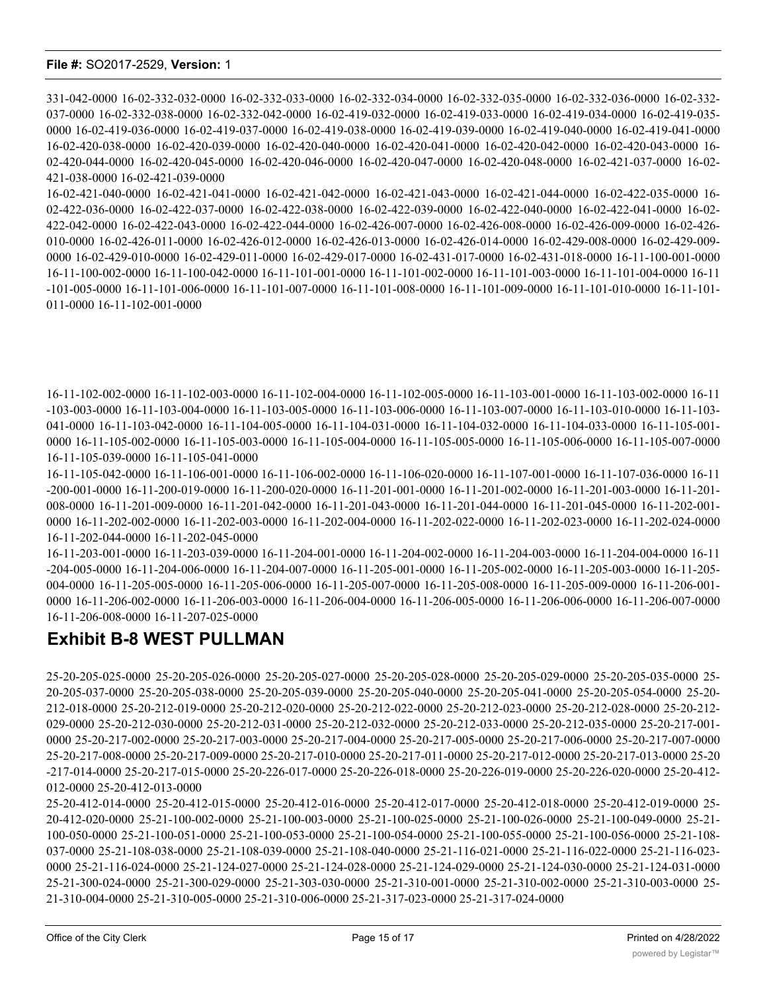331-042-0000 16-02-332-032-0000 16-02-332-033-0000 16-02-332-034-0000 16-02-332-035-0000 16-02-332-036-0000 16-02-332- 037-0000 16-02-332-038-0000 16-02-332-042-0000 16-02-419-032-0000 16-02-419-033-0000 16-02-419-034-0000 16-02-419-035- 0000 16-02-419-036-0000 16-02-419-037-0000 16-02-419-038-0000 16-02-419-039-0000 16-02-419-040-0000 16-02-419-041-0000 16-02-420-038-0000 16-02-420-039-0000 16-02-420-040-0000 16-02-420-041-0000 16-02-420-042-0000 16-02-420-043-0000 16- 02-420-044-0000 16-02-420-045-0000 16-02-420-046-0000 16-02-420-047-0000 16-02-420-048-0000 16-02-421-037-0000 16-02- 421-038-0000 16-02-421-039-0000

16-02-421-040-0000 16-02-421-041-0000 16-02-421-042-0000 16-02-421-043-0000 16-02-421-044-0000 16-02-422-035-0000 16- 02-422-036-0000 16-02-422-037-0000 16-02-422-038-0000 16-02-422-039-0000 16-02-422-040-0000 16-02-422-041-0000 16-02- 422-042-0000 16-02-422-043-0000 16-02-422-044-0000 16-02-426-007-0000 16-02-426-008-0000 16-02-426-009-0000 16-02-426- 010-0000 16-02-426-011-0000 16-02-426-012-0000 16-02-426-013-0000 16-02-426-014-0000 16-02-429-008-0000 16-02-429-009- 0000 16-02-429-010-0000 16-02-429-011-0000 16-02-429-017-0000 16-02-431-017-0000 16-02-431-018-0000 16-11-100-001-0000 16-11-100-002-0000 16-11-100-042-0000 16-11-101-001-0000 16-11-101-002-0000 16-11-101-003-0000 16-11-101-004-0000 16-11 -101-005-0000 16-11-101-006-0000 16-11-101-007-0000 16-11-101-008-0000 16-11-101-009-0000 16-11-101-010-0000 16-11-101- 011-0000 16-11-102-001-0000

16-11-102-002-0000 16-11-102-003-0000 16-11-102-004-0000 16-11-102-005-0000 16-11-103-001-0000 16-11-103-002-0000 16-11 -103-003-0000 16-11-103-004-0000 16-11-103-005-0000 16-11-103-006-0000 16-11-103-007-0000 16-11-103-010-0000 16-11-103- 041-0000 16-11-103-042-0000 16-11-104-005-0000 16-11-104-031-0000 16-11-104-032-0000 16-11-104-033-0000 16-11-105-001- 0000 16-11-105-002-0000 16-11-105-003-0000 16-11-105-004-0000 16-11-105-005-0000 16-11-105-006-0000 16-11-105-007-0000 16-11-105-039-0000 16-11-105-041-0000

16-11-105-042-0000 16-11-106-001-0000 16-11-106-002-0000 16-11-106-020-0000 16-11-107-001-0000 16-11-107-036-0000 16-11 -200-001-0000 16-11-200-019-0000 16-11-200-020-0000 16-11-201-001-0000 16-11-201-002-0000 16-11-201-003-0000 16-11-201- 008-0000 16-11-201-009-0000 16-11-201-042-0000 16-11-201-043-0000 16-11-201-044-0000 16-11-201-045-0000 16-11-202-001- 0000 16-11-202-002-0000 16-11-202-003-0000 16-11-202-004-0000 16-11-202-022-0000 16-11-202-023-0000 16-11-202-024-0000 16-11-202-044-0000 16-11-202-045-0000

16-11-203-001-0000 16-11-203-039-0000 16-11-204-001-0000 16-11-204-002-0000 16-11-204-003-0000 16-11-204-004-0000 16-11 -204-005-0000 16-11-204-006-0000 16-11-204-007-0000 16-11-205-001-0000 16-11-205-002-0000 16-11-205-003-0000 16-11-205- 004-0000 16-11-205-005-0000 16-11-205-006-0000 16-11-205-007-0000 16-11-205-008-0000 16-11-205-009-0000 16-11-206-001- 0000 16-11-206-002-0000 16-11-206-003-0000 16-11-206-004-0000 16-11-206-005-0000 16-11-206-006-0000 16-11-206-007-0000 16-11-206-008-0000 16-11-207-025-0000

## **Exhibit B-8 WEST PULLMAN**

25-20-205-025-0000 25-20-205-026-0000 25-20-205-027-0000 25-20-205-028-0000 25-20-205-029-0000 25-20-205-035-0000 25- 20-205-037-0000 25-20-205-038-0000 25-20-205-039-0000 25-20-205-040-0000 25-20-205-041-0000 25-20-205-054-0000 25-20- 212-018-0000 25-20-212-019-0000 25-20-212-020-0000 25-20-212-022-0000 25-20-212-023-0000 25-20-212-028-0000 25-20-212- 029-0000 25-20-212-030-0000 25-20-212-031-0000 25-20-212-032-0000 25-20-212-033-0000 25-20-212-035-0000 25-20-217-001- 0000 25-20-217-002-0000 25-20-217-003-0000 25-20-217-004-0000 25-20-217-005-0000 25-20-217-006-0000 25-20-217-007-0000 25-20-217-008-0000 25-20-217-009-0000 25-20-217-010-0000 25-20-217-011-0000 25-20-217-012-0000 25-20-217-013-0000 25-20 -217-014-0000 25-20-217-015-0000 25-20-226-017-0000 25-20-226-018-0000 25-20-226-019-0000 25-20-226-020-0000 25-20-412- 012-0000 25-20-412-013-0000

25-20-412-014-0000 25-20-412-015-0000 25-20-412-016-0000 25-20-412-017-0000 25-20-412-018-0000 25-20-412-019-0000 25- 20-412-020-0000 25-21-100-002-0000 25-21-100-003-0000 25-21-100-025-0000 25-21-100-026-0000 25-21-100-049-0000 25-21- 100-050-0000 25-21-100-051-0000 25-21-100-053-0000 25-21-100-054-0000 25-21-100-055-0000 25-21-100-056-0000 25-21-108- 037-0000 25-21-108-038-0000 25-21-108-039-0000 25-21-108-040-0000 25-21-116-021-0000 25-21-116-022-0000 25-21-116-023- 0000 25-21-116-024-0000 25-21-124-027-0000 25-21-124-028-0000 25-21-124-029-0000 25-21-124-030-0000 25-21-124-031-0000 25-21-300-024-0000 25-21-300-029-0000 25-21-303-030-0000 25-21-310-001-0000 25-21-310-002-0000 25-21-310-003-0000 25- 21-310-004-0000 25-21-310-005-0000 25-21-310-006-0000 25-21-317-023-0000 25-21-317-024-0000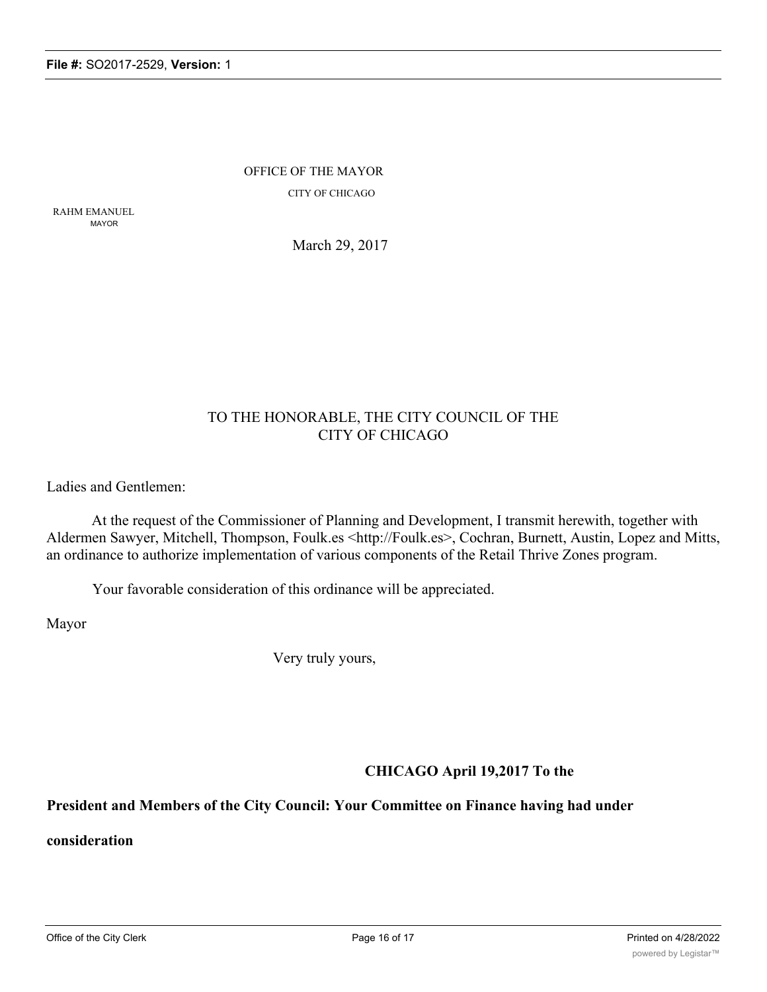OFFICE OF THE MAYOR CITY OF CHICAGO

RAHM EMANUEL MAYOR

March 29, 2017

### TO THE HONORABLE, THE CITY COUNCIL OF THE CITY OF CHICAGO

Ladies and Gentlemen:

At the request of the Commissioner of Planning and Development, I transmit herewith, together with Aldermen Sawyer, Mitchell, Thompson, Foulk.es <http://Foulk.es>, Cochran, Burnett, Austin, Lopez and Mitts, an ordinance to authorize implementation of various components of the Retail Thrive Zones program.

Your favorable consideration of this ordinance will be appreciated.

Mayor

Very truly yours,

### **CHICAGO April 19,2017 To the**

### **President and Members of the City Council: Your Committee on Finance having had under**

**consideration**